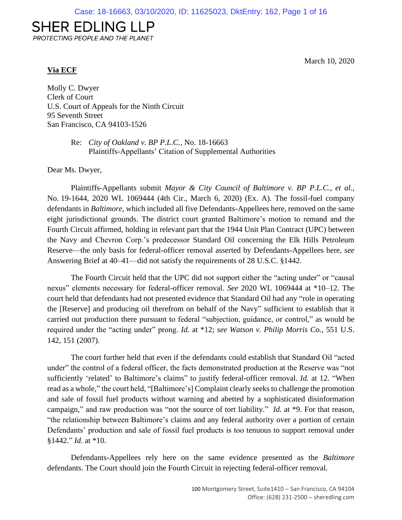# **SHER EDLING LLP**

PROTECTING PEOPLE AND THE PLANET

## **Via ECF**

March 10, 2020

Molly C. Dwyer Clerk of Court U.S. Court of Appeals for the Ninth Circuit 95 Seventh Street San Francisco, CA 94103-1526

> Re: *City of Oakland v. BP P.L.C.*, No. 18-16663 Plaintiffs-Appellants' Citation of Supplemental Authorities

Dear Ms. Dwyer,

Plaintiffs-Appellants submit *Mayor & City Council of Baltimore v. BP P.L.C., et al.*, No. 19-1644, 2020 WL 1069444 (4th Cir., March 6, 2020) (Ex. A). The fossil-fuel company defendants in *Baltimore*, which included all five Defendants-Appellees here, removed on the same eight jurisdictional grounds. The district court granted Baltimore's motion to remand and the Fourth Circuit affirmed, holding in relevant part that the 1944 Unit Plan Contract (UPC) between the Navy and Chevron Corp.'s predecessor Standard Oil concerning the Elk Hills Petroleum Reserve—the only basis for federal-officer removal asserted by Defendants-Appellees here, *see*  Answering Brief at 40–41—did not satisfy the requirements of 28 U.S.C. §1442.

The Fourth Circuit held that the UPC did not support either the "acting under" or "causal nexus" elements necessary for federal-officer removal. *See* 2020 WL 1069444 at \*10–12. The court held that defendants had not presented evidence that Standard Oil had any "role in operating the [Reserve] and producing oil therefrom on behalf of the Navy" sufficient to establish that it carried out production there pursuant to federal "subjection, guidance, or control," as would be required under the "acting under" prong. *Id.* at \*12; *see Watson v. Philip Morris Co.*, 551 U.S. 142, 151 (2007).

The court further held that even if the defendants could establish that Standard Oil "acted under" the control of a federal officer, the facts demonstrated production at the Reserve was "not sufficiently 'related' to Baltimore's claims" to justify federal-officer removal. *Id.* at 12. "When read as a whole," the court held, "[Baltimore's] Complaint clearly seeks to challenge the promotion and sale of fossil fuel products without warning and abetted by a sophisticated disinformation campaign," and raw production was "not the source of tort liability." *Id.* at \*9. For that reason, "the relationship between Baltimore's claims and any federal authority over a portion of certain Defendants' production and sale of fossil fuel products is too tenuous to support removal under §1442." *Id.* at \*10.

Defendants-Appellees rely here on the same evidence presented as the *Baltimore* defendants. The Court should join the Fourth Circuit in rejecting federal-officer removal.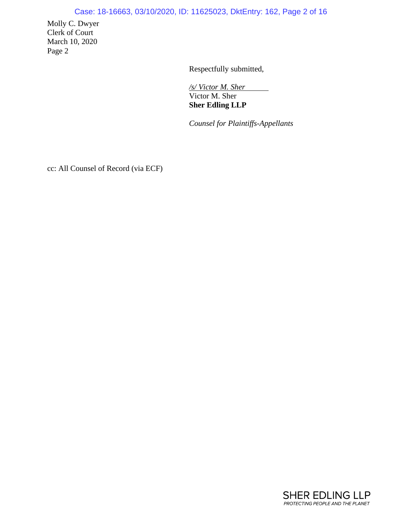# Case: 18-16663, 03/10/2020, ID: 11625023, DktEntry: 162, Page 2 of 16

Molly C. Dwyer Clerk of Court March 10, 2020 Page 2

Respectfully submitted,

*/s/ Victor M. Sher*  Victor M. Sher **Sher Edling LLP**

*Counsel for Plaintiffs-Appellants*

cc: All Counsel of Record (via ECF)

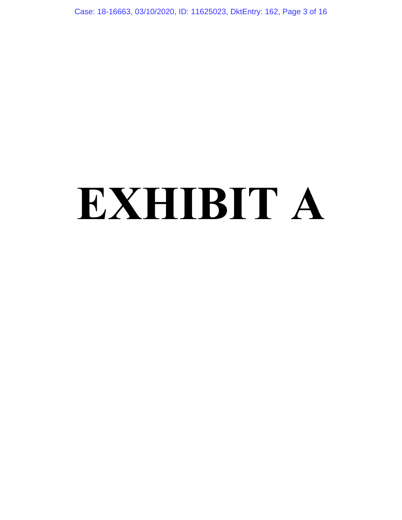Case: 18-16663, 03/10/2020, ID: 11625023, DktEntry: 162, Page 3 of 16

# **EXHIBIT A**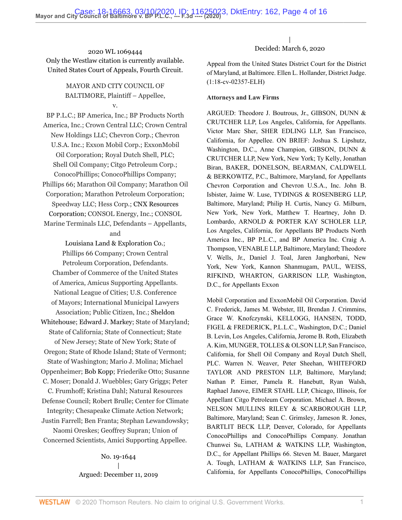2020 WL 1069444 Only the Westlaw citation is currently available. United States Court of Appeals, Fourth Circuit.

> MAYOR AND CITY COUNCIL OF BALTIMORE, Plaintiff – Appellee, v.

BP P.L.C.; BP America, Inc.; BP Products North America, Inc.; Crown Central LLC; Crown Central New Holdings LLC; Chevron Corp.; Chevron U.S.A. Inc.; Exxon Mobil Corp.; ExxonMobil Oil Corporation; Royal Dutch Shell, PLC; Shell Oil Company; Citgo Petroleum Corp.; ConocoPhillips; ConocoPhillips Company; Phillips 66; Marathon Oil Company; Marathon Oil Corporation; Marathon Petroleum Corporation; Speedway LLC; Hess Corp.; [CNX Resources](http://www.westlaw.com/Search/Results.html?query=advanced%3a+OAID(4295912046)&saveJuris=False&contentType=BUSINESS-INVESTIGATOR&startIndex=1&contextData=(sc.Default)&categoryPageUrl=Home%2fCompanyInvestigator&originationContext=document&vr=3.0&rs=cblt1.0&transitionType=DocumentItem) [Corporation](http://www.westlaw.com/Search/Results.html?query=advanced%3a+OAID(4295912046)&saveJuris=False&contentType=BUSINESS-INVESTIGATOR&startIndex=1&contextData=(sc.Default)&categoryPageUrl=Home%2fCompanyInvestigator&originationContext=document&vr=3.0&rs=cblt1.0&transitionType=DocumentItem); CONSOL Energy, Inc.; CONSOL

Marine Terminals LLC, Defendants – Appellants, and

[Louisiana Land & Exploration Co.;](http://www.westlaw.com/Search/Results.html?query=advanced%3a+OAID(5031321094)&saveJuris=False&contentType=BUSINESS-INVESTIGATOR&startIndex=1&contextData=(sc.Default)&categoryPageUrl=Home%2fCompanyInvestigator&originationContext=document&vr=3.0&rs=cblt1.0&transitionType=DocumentItem) Phillips 66 Company; Crown Central Petroleum Corporation, Defendants. Chamber of Commerce of the United States of America, Amicus Supporting Appellants. National League of Cities; U.S. Conference of Mayors; International Municipal Lawyers Association; Public Citizen, Inc.; [Sheldon](http://www.westlaw.com/Search/Results.html?query=advanced%3a+OAID(5058385731)&saveJuris=False&contentType=BUSINESS-INVESTIGATOR&startIndex=1&contextData=(sc.Default)&categoryPageUrl=Home%2fCompanyInvestigator&originationContext=document&vr=3.0&rs=cblt1.0&transitionType=DocumentItem)

[Whitehouse](http://www.westlaw.com/Search/Results.html?query=advanced%3a+OAID(5058385731)&saveJuris=False&contentType=BUSINESS-INVESTIGATOR&startIndex=1&contextData=(sc.Default)&categoryPageUrl=Home%2fCompanyInvestigator&originationContext=document&vr=3.0&rs=cblt1.0&transitionType=DocumentItem); [Edward J. Markey](http://www.westlaw.com/Search/Results.html?query=advanced%3a+OAID(4297854520)&saveJuris=False&contentType=BUSINESS-INVESTIGATOR&startIndex=1&contextData=(sc.Default)&categoryPageUrl=Home%2fCompanyInvestigator&originationContext=document&vr=3.0&rs=cblt1.0&transitionType=DocumentItem); State of Maryland; State of California; State of Connecticut; State of New Jersey; State of New York; State of Oregon; State of Rhode Island; State of Vermont;

State of Washington; Mario J. Molina; Michael Oppenheimer; [Bob Kopp](http://www.westlaw.com/Search/Results.html?query=advanced%3a+OAID(5023583305)&saveJuris=False&contentType=BUSINESS-INVESTIGATOR&startIndex=1&contextData=(sc.Default)&categoryPageUrl=Home%2fCompanyInvestigator&originationContext=document&vr=3.0&rs=cblt1.0&transitionType=DocumentItem); Friederike Otto; Susanne

C. Moser; Donald J. Wuebbles; Gary Griggs; Peter C. Frumhoff; Kristina Dahl; Natural Resources Defense Council; Robert Brulle; Center for Climate Integrity; Chesapeake Climate Action Network;

Justin Farrell; Ben Franta; Stephan Lewandowsky; Naomi Oreskes; Geoffrey Supran; Union of Concerned Scientists, Amici Supporting Appellee.

> No. 19-1644 | Argued: December 11, 2019

| Decided: March 6, 2020

Appeal from the United States District Court for the District of Maryland, at Baltimore. [Ellen L. Hollander,](http://www.westlaw.com/Link/Document/FullText?findType=h&pubNum=176284&cite=0166440201&originatingDoc=I9bfa51805fc911eaa56f994ec64d0018&refType=RQ&originationContext=document&vr=3.0&rs=cblt1.0&transitionType=DocumentItem&contextData=(sc.Default)) District Judge. (1:18-cv-02357-ELH)

#### **Attorneys and Law Firms**

ARGUED: [Theodore J. Boutrous, Jr.,](http://www.westlaw.com/Link/Document/FullText?findType=h&pubNum=176284&cite=0249452601&originatingDoc=I9bfa51805fc911eaa56f994ec64d0018&refType=RQ&originationContext=document&vr=3.0&rs=cblt1.0&transitionType=DocumentItem&contextData=(sc.Default)) GIBSON, DUNN & CRUTCHER LLP, Los Angeles, California, for Appellants. [Victor Marc Sher](http://www.westlaw.com/Link/Document/FullText?findType=h&pubNum=176284&cite=0288291601&originatingDoc=I9bfa51805fc911eaa56f994ec64d0018&refType=RQ&originationContext=document&vr=3.0&rs=cblt1.0&transitionType=DocumentItem&contextData=(sc.Default)), SHER EDLING LLP, San Francisco, California, for Appellee. ON BRIEF: [Joshua S. Lipshutz](http://www.westlaw.com/Link/Document/FullText?findType=h&pubNum=176284&cite=0422064701&originatingDoc=I9bfa51805fc911eaa56f994ec64d0018&refType=RQ&originationContext=document&vr=3.0&rs=cblt1.0&transitionType=DocumentItem&contextData=(sc.Default)), Washington, D.C., [Anne Champion](http://www.westlaw.com/Link/Document/FullText?findType=h&pubNum=176284&cite=0374727201&originatingDoc=I9bfa51805fc911eaa56f994ec64d0018&refType=RQ&originationContext=document&vr=3.0&rs=cblt1.0&transitionType=DocumentItem&contextData=(sc.Default)), GIBSON, DUNN & CRUTCHER LLP, New York, New York; [Ty Kelly,](http://www.westlaw.com/Link/Document/FullText?findType=h&pubNum=176284&cite=0474372501&originatingDoc=I9bfa51805fc911eaa56f994ec64d0018&refType=RQ&originationContext=document&vr=3.0&rs=cblt1.0&transitionType=DocumentItem&contextData=(sc.Default)) [Jonathan](http://www.westlaw.com/Link/Document/FullText?findType=h&pubNum=176284&cite=0284409301&originatingDoc=I9bfa51805fc911eaa56f994ec64d0018&refType=RQ&originationContext=document&vr=3.0&rs=cblt1.0&transitionType=DocumentItem&contextData=(sc.Default)) [Biran](http://www.westlaw.com/Link/Document/FullText?findType=h&pubNum=176284&cite=0284409301&originatingDoc=I9bfa51805fc911eaa56f994ec64d0018&refType=RQ&originationContext=document&vr=3.0&rs=cblt1.0&transitionType=DocumentItem&contextData=(sc.Default)), BAKER, DONELSON, BEARMAN, CALDWELL & BERKOWITZ, P.C., Baltimore, Maryland, for Appellants Chevron Corporation and Chevron U.S.A., Inc. John B. Isbister, [Jaime W. Luse,](http://www.westlaw.com/Link/Document/FullText?findType=h&pubNum=176284&cite=0333143801&originatingDoc=I9bfa51805fc911eaa56f994ec64d0018&refType=RQ&originationContext=document&vr=3.0&rs=cblt1.0&transitionType=DocumentItem&contextData=(sc.Default)) TYDINGS & ROSENBERG LLP, Baltimore, Maryland; [Philip H. Curtis,](http://www.westlaw.com/Link/Document/FullText?findType=h&pubNum=176284&cite=0204318201&originatingDoc=I9bfa51805fc911eaa56f994ec64d0018&refType=RQ&originationContext=document&vr=3.0&rs=cblt1.0&transitionType=DocumentItem&contextData=(sc.Default)) [Nancy G. Milburn](http://www.westlaw.com/Link/Document/FullText?findType=h&pubNum=176284&cite=0167867101&originatingDoc=I9bfa51805fc911eaa56f994ec64d0018&refType=RQ&originationContext=document&vr=3.0&rs=cblt1.0&transitionType=DocumentItem&contextData=(sc.Default)), New York, New York, [Matthew T. Heartney](http://www.westlaw.com/Link/Document/FullText?findType=h&pubNum=176284&cite=0105440501&originatingDoc=I9bfa51805fc911eaa56f994ec64d0018&refType=RQ&originationContext=document&vr=3.0&rs=cblt1.0&transitionType=DocumentItem&contextData=(sc.Default)), [John D.](http://www.westlaw.com/Link/Document/FullText?findType=h&pubNum=176284&cite=0319565201&originatingDoc=I9bfa51805fc911eaa56f994ec64d0018&refType=RQ&originationContext=document&vr=3.0&rs=cblt1.0&transitionType=DocumentItem&contextData=(sc.Default)) [Lombardo,](http://www.westlaw.com/Link/Document/FullText?findType=h&pubNum=176284&cite=0319565201&originatingDoc=I9bfa51805fc911eaa56f994ec64d0018&refType=RQ&originationContext=document&vr=3.0&rs=cblt1.0&transitionType=DocumentItem&contextData=(sc.Default)) ARNOLD & PORTER KAY SCHOLER LLP, Los Angeles, California, for Appellants BP Products North America Inc., BP P.L.C., and BP America Inc. [Craig A.](http://www.westlaw.com/Link/Document/FullText?findType=h&pubNum=176284&cite=0303541701&originatingDoc=I9bfa51805fc911eaa56f994ec64d0018&refType=RQ&originationContext=document&vr=3.0&rs=cblt1.0&transitionType=DocumentItem&contextData=(sc.Default)) [Thompson,](http://www.westlaw.com/Link/Document/FullText?findType=h&pubNum=176284&cite=0303541701&originatingDoc=I9bfa51805fc911eaa56f994ec64d0018&refType=RQ&originationContext=document&vr=3.0&rs=cblt1.0&transitionType=DocumentItem&contextData=(sc.Default)) VENABLE LLP, Baltimore, Maryland; [Theodore](http://www.westlaw.com/Link/Document/FullText?findType=h&pubNum=176284&cite=0327945501&originatingDoc=I9bfa51805fc911eaa56f994ec64d0018&refType=RQ&originationContext=document&vr=3.0&rs=cblt1.0&transitionType=DocumentItem&contextData=(sc.Default)) [V. Wells, Jr.,](http://www.westlaw.com/Link/Document/FullText?findType=h&pubNum=176284&cite=0327945501&originatingDoc=I9bfa51805fc911eaa56f994ec64d0018&refType=RQ&originationContext=document&vr=3.0&rs=cblt1.0&transitionType=DocumentItem&contextData=(sc.Default)) [Daniel J. Toal](http://www.westlaw.com/Link/Document/FullText?findType=h&pubNum=176284&cite=0195643601&originatingDoc=I9bfa51805fc911eaa56f994ec64d0018&refType=RQ&originationContext=document&vr=3.0&rs=cblt1.0&transitionType=DocumentItem&contextData=(sc.Default)), [Jaren Janghorbani,](http://www.westlaw.com/Link/Document/FullText?findType=h&pubNum=176284&cite=0413892901&originatingDoc=I9bfa51805fc911eaa56f994ec64d0018&refType=RQ&originationContext=document&vr=3.0&rs=cblt1.0&transitionType=DocumentItem&contextData=(sc.Default)) New York, New York, [Kannon Shanmugam](http://www.westlaw.com/Link/Document/FullText?findType=h&pubNum=176284&cite=0319471701&originatingDoc=I9bfa51805fc911eaa56f994ec64d0018&refType=RQ&originationContext=document&vr=3.0&rs=cblt1.0&transitionType=DocumentItem&contextData=(sc.Default)), PAUL, WEISS, RIFKIND, WHARTON, GARRISON LLP, Washington, D.C., for Appellants Exxon

Mobil Corporation and ExxonMobil Oil Corporation. [David](http://www.westlaw.com/Link/Document/FullText?findType=h&pubNum=176284&cite=0137639601&originatingDoc=I9bfa51805fc911eaa56f994ec64d0018&refType=RQ&originationContext=document&vr=3.0&rs=cblt1.0&transitionType=DocumentItem&contextData=(sc.Default)) [C. Frederick,](http://www.westlaw.com/Link/Document/FullText?findType=h&pubNum=176284&cite=0137639601&originatingDoc=I9bfa51805fc911eaa56f994ec64d0018&refType=RQ&originationContext=document&vr=3.0&rs=cblt1.0&transitionType=DocumentItem&contextData=(sc.Default)) [James M. Webster, III](http://www.westlaw.com/Link/Document/FullText?findType=h&pubNum=176284&cite=0342127101&originatingDoc=I9bfa51805fc911eaa56f994ec64d0018&refType=RQ&originationContext=document&vr=3.0&rs=cblt1.0&transitionType=DocumentItem&contextData=(sc.Default)), [Brendan J. Crimmins](http://www.westlaw.com/Link/Document/FullText?findType=h&pubNum=176284&cite=0371937701&originatingDoc=I9bfa51805fc911eaa56f994ec64d0018&refType=RQ&originationContext=document&vr=3.0&rs=cblt1.0&transitionType=DocumentItem&contextData=(sc.Default)), [Grace W. Knofczynski,](http://www.westlaw.com/Link/Document/FullText?findType=h&pubNum=176284&cite=0508215101&originatingDoc=I9bfa51805fc911eaa56f994ec64d0018&refType=RQ&originationContext=document&vr=3.0&rs=cblt1.0&transitionType=DocumentItem&contextData=(sc.Default)) KELLOGG, HANSEN, TODD, FIGEL & FREDERICK, P.L.L.C., Washington, D.C.; [Daniel](http://www.westlaw.com/Link/Document/FullText?findType=h&pubNum=176284&cite=0325609301&originatingDoc=I9bfa51805fc911eaa56f994ec64d0018&refType=RQ&originationContext=document&vr=3.0&rs=cblt1.0&transitionType=DocumentItem&contextData=(sc.Default)) [B. Levin,](http://www.westlaw.com/Link/Document/FullText?findType=h&pubNum=176284&cite=0325609301&originatingDoc=I9bfa51805fc911eaa56f994ec64d0018&refType=RQ&originationContext=document&vr=3.0&rs=cblt1.0&transitionType=DocumentItem&contextData=(sc.Default)) Los Angeles, California, [Jerome B. Roth,](http://www.westlaw.com/Link/Document/FullText?findType=h&pubNum=176284&cite=0257573601&originatingDoc=I9bfa51805fc911eaa56f994ec64d0018&refType=RQ&originationContext=document&vr=3.0&rs=cblt1.0&transitionType=DocumentItem&contextData=(sc.Default)) [Elizabeth](http://www.westlaw.com/Link/Document/FullText?findType=h&pubNum=176284&cite=0501485799&originatingDoc=I9bfa51805fc911eaa56f994ec64d0018&refType=RQ&originationContext=document&vr=3.0&rs=cblt1.0&transitionType=DocumentItem&contextData=(sc.Default)) [A. Kim](http://www.westlaw.com/Link/Document/FullText?findType=h&pubNum=176284&cite=0501485799&originatingDoc=I9bfa51805fc911eaa56f994ec64d0018&refType=RQ&originationContext=document&vr=3.0&rs=cblt1.0&transitionType=DocumentItem&contextData=(sc.Default)), MUNGER, TOLLES & OLSON LLP, San Francisco, California, for Shell Oil Company and Royal Dutch Shell, PLC. [Warren N. Weaver](http://www.westlaw.com/Link/Document/FullText?findType=h&pubNum=176284&cite=0324349201&originatingDoc=I9bfa51805fc911eaa56f994ec64d0018&refType=RQ&originationContext=document&vr=3.0&rs=cblt1.0&transitionType=DocumentItem&contextData=(sc.Default)), [Peter Sheehan,](http://www.westlaw.com/Link/Document/FullText?findType=h&pubNum=176284&cite=0425926301&originatingDoc=I9bfa51805fc911eaa56f994ec64d0018&refType=RQ&originationContext=document&vr=3.0&rs=cblt1.0&transitionType=DocumentItem&contextData=(sc.Default)) WHITEFORD TAYLOR AND PRESTON LLP, Baltimore, Maryland; [Nathan P. Eimer,](http://www.westlaw.com/Link/Document/FullText?findType=h&pubNum=176284&cite=0179068301&originatingDoc=I9bfa51805fc911eaa56f994ec64d0018&refType=RQ&originationContext=document&vr=3.0&rs=cblt1.0&transitionType=DocumentItem&contextData=(sc.Default)) [Pamela R. Hanebutt,](http://www.westlaw.com/Link/Document/FullText?findType=h&pubNum=176284&cite=0196811401&originatingDoc=I9bfa51805fc911eaa56f994ec64d0018&refType=RQ&originationContext=document&vr=3.0&rs=cblt1.0&transitionType=DocumentItem&contextData=(sc.Default)) [Ryan Walsh](http://www.westlaw.com/Link/Document/FullText?findType=h&pubNum=176284&cite=0491867499&originatingDoc=I9bfa51805fc911eaa56f994ec64d0018&refType=RQ&originationContext=document&vr=3.0&rs=cblt1.0&transitionType=DocumentItem&contextData=(sc.Default)), [Raphael Janove](http://www.westlaw.com/Link/Document/FullText?findType=h&pubNum=176284&cite=0488911099&originatingDoc=I9bfa51805fc911eaa56f994ec64d0018&refType=RQ&originationContext=document&vr=3.0&rs=cblt1.0&transitionType=DocumentItem&contextData=(sc.Default)), EIMER STAHL LLP, Chicago, Illinois, for Appellant Citgo Petroleum Corporation. [Michael A. Brown](http://www.westlaw.com/Link/Document/FullText?findType=h&pubNum=176284&cite=0195757101&originatingDoc=I9bfa51805fc911eaa56f994ec64d0018&refType=RQ&originationContext=document&vr=3.0&rs=cblt1.0&transitionType=DocumentItem&contextData=(sc.Default)), NELSON MULLINS RILEY & SCARBOROUGH LLP, Baltimore, Maryland; [Sean C. Grimsley,](http://www.westlaw.com/Link/Document/FullText?findType=h&pubNum=176284&cite=0375875501&originatingDoc=I9bfa51805fc911eaa56f994ec64d0018&refType=RQ&originationContext=document&vr=3.0&rs=cblt1.0&transitionType=DocumentItem&contextData=(sc.Default)) [Jameson R. Jones](http://www.westlaw.com/Link/Document/FullText?findType=h&pubNum=176284&cite=0430917401&originatingDoc=I9bfa51805fc911eaa56f994ec64d0018&refType=RQ&originationContext=document&vr=3.0&rs=cblt1.0&transitionType=DocumentItem&contextData=(sc.Default)), BARTLIT BECK LLP, Denver, Colorado, for Appellants ConocoPhillips and ConocoPhillips Company. [Jonathan](http://www.westlaw.com/Link/Document/FullText?findType=h&pubNum=176284&cite=0351360801&originatingDoc=I9bfa51805fc911eaa56f994ec64d0018&refType=RQ&originationContext=document&vr=3.0&rs=cblt1.0&transitionType=DocumentItem&contextData=(sc.Default)) [Chunwei Su,](http://www.westlaw.com/Link/Document/FullText?findType=h&pubNum=176284&cite=0351360801&originatingDoc=I9bfa51805fc911eaa56f994ec64d0018&refType=RQ&originationContext=document&vr=3.0&rs=cblt1.0&transitionType=DocumentItem&contextData=(sc.Default)) LATHAM & WATKINS LLP, Washington, D.C., for Appellant Phillips 66. [Steven M. Bauer,](http://www.westlaw.com/Link/Document/FullText?findType=h&pubNum=176284&cite=0127366101&originatingDoc=I9bfa51805fc911eaa56f994ec64d0018&refType=RQ&originationContext=document&vr=3.0&rs=cblt1.0&transitionType=DocumentItem&contextData=(sc.Default)) [Margaret](http://www.westlaw.com/Link/Document/FullText?findType=h&pubNum=176284&cite=0328816801&originatingDoc=I9bfa51805fc911eaa56f994ec64d0018&refType=RQ&originationContext=document&vr=3.0&rs=cblt1.0&transitionType=DocumentItem&contextData=(sc.Default)) [A. Tough](http://www.westlaw.com/Link/Document/FullText?findType=h&pubNum=176284&cite=0328816801&originatingDoc=I9bfa51805fc911eaa56f994ec64d0018&refType=RQ&originationContext=document&vr=3.0&rs=cblt1.0&transitionType=DocumentItem&contextData=(sc.Default)), LATHAM & WATKINS LLP, San Francisco, California, for Appellants ConocoPhillips, ConocoPhillips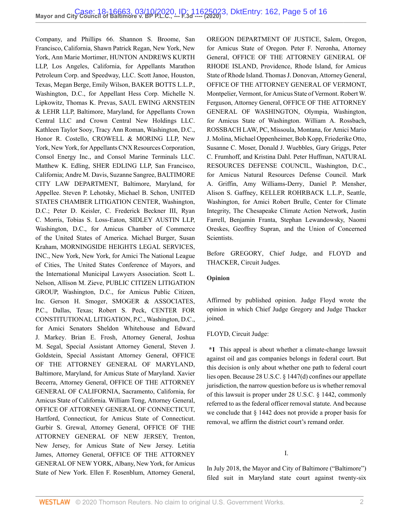Company, and Phillips 66. [Shannon S. Broome](http://www.westlaw.com/Link/Document/FullText?findType=h&pubNum=176284&cite=0183272301&originatingDoc=I9bfa51805fc911eaa56f994ec64d0018&refType=RQ&originationContext=document&vr=3.0&rs=cblt1.0&transitionType=DocumentItem&contextData=(sc.Default)), San Francisco, California, [Shawn Patrick Regan](http://www.westlaw.com/Link/Document/FullText?findType=h&pubNum=176284&cite=0329241501&originatingDoc=I9bfa51805fc911eaa56f994ec64d0018&refType=RQ&originationContext=document&vr=3.0&rs=cblt1.0&transitionType=DocumentItem&contextData=(sc.Default)), New York, New York, [Ann Marie Mortimer](http://www.westlaw.com/Link/Document/FullText?findType=h&pubNum=176284&cite=0246464801&originatingDoc=I9bfa51805fc911eaa56f994ec64d0018&refType=RQ&originationContext=document&vr=3.0&rs=cblt1.0&transitionType=DocumentItem&contextData=(sc.Default)), HUNTON ANDREWS KURTH LLP, Los Angeles, California, for Appellants Marathon Petroleum Corp. and Speedway, LLC. [Scott Janoe](http://www.westlaw.com/Link/Document/FullText?findType=h&pubNum=176284&cite=0330214301&originatingDoc=I9bfa51805fc911eaa56f994ec64d0018&refType=RQ&originationContext=document&vr=3.0&rs=cblt1.0&transitionType=DocumentItem&contextData=(sc.Default)), Houston, Texas, [Megan Berge,](http://www.westlaw.com/Link/Document/FullText?findType=h&pubNum=176284&cite=0389804401&originatingDoc=I9bfa51805fc911eaa56f994ec64d0018&refType=RQ&originationContext=document&vr=3.0&rs=cblt1.0&transitionType=DocumentItem&contextData=(sc.Default)) [Emily Wilson,](http://www.westlaw.com/Link/Document/FullText?findType=h&pubNum=176284&cite=0509433001&originatingDoc=I9bfa51805fc911eaa56f994ec64d0018&refType=RQ&originationContext=document&vr=3.0&rs=cblt1.0&transitionType=DocumentItem&contextData=(sc.Default)) BAKER BOTTS L.L.P., Washington, D.C., for Appellant Hess Corp. [Michelle N.](http://www.westlaw.com/Link/Document/FullText?findType=h&pubNum=176284&cite=0358684801&originatingDoc=I9bfa51805fc911eaa56f994ec64d0018&refType=RQ&originationContext=document&vr=3.0&rs=cblt1.0&transitionType=DocumentItem&contextData=(sc.Default)) [Lipkowitz](http://www.westlaw.com/Link/Document/FullText?findType=h&pubNum=176284&cite=0358684801&originatingDoc=I9bfa51805fc911eaa56f994ec64d0018&refType=RQ&originationContext=document&vr=3.0&rs=cblt1.0&transitionType=DocumentItem&contextData=(sc.Default)), [Thomas K. Prevas,](http://www.westlaw.com/Link/Document/FullText?findType=h&pubNum=176284&cite=0434560201&originatingDoc=I9bfa51805fc911eaa56f994ec64d0018&refType=RQ&originationContext=document&vr=3.0&rs=cblt1.0&transitionType=DocumentItem&contextData=(sc.Default)) SAUL EWING ARNSTEIN & LEHR LLP, Baltimore, Maryland, for Appellants Crown Central LLC and Crown Central New Holdings LLC. [Kathleen Taylor Sooy,](http://www.westlaw.com/Link/Document/FullText?findType=h&pubNum=176284&cite=0323244401&originatingDoc=I9bfa51805fc911eaa56f994ec64d0018&refType=RQ&originationContext=document&vr=3.0&rs=cblt1.0&transitionType=DocumentItem&contextData=(sc.Default)) [Tracy Ann Roman,](http://www.westlaw.com/Link/Document/FullText?findType=h&pubNum=176284&cite=0132774601&originatingDoc=I9bfa51805fc911eaa56f994ec64d0018&refType=RQ&originationContext=document&vr=3.0&rs=cblt1.0&transitionType=DocumentItem&contextData=(sc.Default)) Washington, D.C., [Honor R. Costello,](http://www.westlaw.com/Link/Document/FullText?findType=h&pubNum=176284&cite=0470340601&originatingDoc=I9bfa51805fc911eaa56f994ec64d0018&refType=RQ&originationContext=document&vr=3.0&rs=cblt1.0&transitionType=DocumentItem&contextData=(sc.Default)) CROWELL & MORING LLP, New York, New York, for Appellants CNX Resources Corporation, Consol Energy Inc., and Consol Marine Terminals LLC. [Matthew K. Edling,](http://www.westlaw.com/Link/Document/FullText?findType=h&pubNum=176284&cite=0401657601&originatingDoc=I9bfa51805fc911eaa56f994ec64d0018&refType=RQ&originationContext=document&vr=3.0&rs=cblt1.0&transitionType=DocumentItem&contextData=(sc.Default)) SHER EDLING LLP, San Francisco, California; Andre M. Davis, [Suzanne Sangree](http://www.westlaw.com/Link/Document/FullText?findType=h&pubNum=176284&cite=0369673801&originatingDoc=I9bfa51805fc911eaa56f994ec64d0018&refType=RQ&originationContext=document&vr=3.0&rs=cblt1.0&transitionType=DocumentItem&contextData=(sc.Default)), BALTIMORE CITY LAW DEPARTMENT, Baltimore, Maryland, for Appellee. [Steven P. Lehotsky](http://www.westlaw.com/Link/Document/FullText?findType=h&pubNum=176284&cite=0359937201&originatingDoc=I9bfa51805fc911eaa56f994ec64d0018&refType=RQ&originationContext=document&vr=3.0&rs=cblt1.0&transitionType=DocumentItem&contextData=(sc.Default)), [Michael B. Schon,](http://www.westlaw.com/Link/Document/FullText?findType=h&pubNum=176284&cite=0421542701&originatingDoc=I9bfa51805fc911eaa56f994ec64d0018&refType=RQ&originationContext=document&vr=3.0&rs=cblt1.0&transitionType=DocumentItem&contextData=(sc.Default)) UNITED STATES CHAMBER LITIGATION CENTER, Washington, D.C.; [Peter D. Keisler,](http://www.westlaw.com/Link/Document/FullText?findType=h&pubNum=176284&cite=0164477401&originatingDoc=I9bfa51805fc911eaa56f994ec64d0018&refType=RQ&originationContext=document&vr=3.0&rs=cblt1.0&transitionType=DocumentItem&contextData=(sc.Default)) [C. Frederick Beckner III](http://www.westlaw.com/Link/Document/FullText?findType=h&pubNum=176284&cite=0201709101&originatingDoc=I9bfa51805fc911eaa56f994ec64d0018&refType=RQ&originationContext=document&vr=3.0&rs=cblt1.0&transitionType=DocumentItem&contextData=(sc.Default)), [Ryan](http://www.westlaw.com/Link/Document/FullText?findType=h&pubNum=176284&cite=0381136601&originatingDoc=I9bfa51805fc911eaa56f994ec64d0018&refType=RQ&originationContext=document&vr=3.0&rs=cblt1.0&transitionType=DocumentItem&contextData=(sc.Default)) [C. Morris,](http://www.westlaw.com/Link/Document/FullText?findType=h&pubNum=176284&cite=0381136601&originatingDoc=I9bfa51805fc911eaa56f994ec64d0018&refType=RQ&originationContext=document&vr=3.0&rs=cblt1.0&transitionType=DocumentItem&contextData=(sc.Default)) [Tobias S. Loss-Eaton](http://www.westlaw.com/Link/Document/FullText?findType=h&pubNum=176284&cite=0455946601&originatingDoc=I9bfa51805fc911eaa56f994ec64d0018&refType=RQ&originationContext=document&vr=3.0&rs=cblt1.0&transitionType=DocumentItem&contextData=(sc.Default)), SIDLEY AUSTIN LLP, Washington, D.C., for Amicus Chamber of Commerce of the United States of America. [Michael Burger,](http://www.westlaw.com/Link/Document/FullText?findType=h&pubNum=176284&cite=0145068601&originatingDoc=I9bfa51805fc911eaa56f994ec64d0018&refType=RQ&originationContext=document&vr=3.0&rs=cblt1.0&transitionType=DocumentItem&contextData=(sc.Default)) [Susan](http://www.westlaw.com/Link/Document/FullText?findType=h&pubNum=176284&cite=0152894801&originatingDoc=I9bfa51805fc911eaa56f994ec64d0018&refType=RQ&originationContext=document&vr=3.0&rs=cblt1.0&transitionType=DocumentItem&contextData=(sc.Default)) [Kraham](http://www.westlaw.com/Link/Document/FullText?findType=h&pubNum=176284&cite=0152894801&originatingDoc=I9bfa51805fc911eaa56f994ec64d0018&refType=RQ&originationContext=document&vr=3.0&rs=cblt1.0&transitionType=DocumentItem&contextData=(sc.Default)), MORNINGSIDE HEIGHTS LEGAL SERVICES, INC., New York, New York, for Amici The National League of Cities, The United States Conference of Mayors, and the International Municipal Lawyers Association. [Scott L.](http://www.westlaw.com/Link/Document/FullText?findType=h&pubNum=176284&cite=0115880301&originatingDoc=I9bfa51805fc911eaa56f994ec64d0018&refType=RQ&originationContext=document&vr=3.0&rs=cblt1.0&transitionType=DocumentItem&contextData=(sc.Default)) [Nelson](http://www.westlaw.com/Link/Document/FullText?findType=h&pubNum=176284&cite=0115880301&originatingDoc=I9bfa51805fc911eaa56f994ec64d0018&refType=RQ&originationContext=document&vr=3.0&rs=cblt1.0&transitionType=DocumentItem&contextData=(sc.Default)), [Allison M. Zieve](http://www.westlaw.com/Link/Document/FullText?findType=h&pubNum=176284&cite=0132128601&originatingDoc=I9bfa51805fc911eaa56f994ec64d0018&refType=RQ&originationContext=document&vr=3.0&rs=cblt1.0&transitionType=DocumentItem&contextData=(sc.Default)), PUBLIC CITIZEN LITIGATION GROUP, Washington, D.C., for Amicus Public Citizen, Inc. [Gerson H. Smoger](http://www.westlaw.com/Link/Document/FullText?findType=h&pubNum=176284&cite=0120055301&originatingDoc=I9bfa51805fc911eaa56f994ec64d0018&refType=RQ&originationContext=document&vr=3.0&rs=cblt1.0&transitionType=DocumentItem&contextData=(sc.Default)), SMOGER & ASSOCIATES, P.C., Dallas, Texas; [Robert S. Peck,](http://www.westlaw.com/Link/Document/FullText?findType=h&pubNum=176284&cite=0107633201&originatingDoc=I9bfa51805fc911eaa56f994ec64d0018&refType=RQ&originationContext=document&vr=3.0&rs=cblt1.0&transitionType=DocumentItem&contextData=(sc.Default)) CENTER FOR CONSTITUTIONAL LITIGATION, P.C., Washington, D.C., for Amici Senators Sheldon Whitehouse and [Edward](http://www.westlaw.com/Link/Document/FullText?findType=h&pubNum=176284&cite=0143444401&originatingDoc=I9bfa51805fc911eaa56f994ec64d0018&refType=RQ&originationContext=document&vr=3.0&rs=cblt1.0&transitionType=DocumentItem&contextData=(sc.Default)) [J. Markey.](http://www.westlaw.com/Link/Document/FullText?findType=h&pubNum=176284&cite=0143444401&originatingDoc=I9bfa51805fc911eaa56f994ec64d0018&refType=RQ&originationContext=document&vr=3.0&rs=cblt1.0&transitionType=DocumentItem&contextData=(sc.Default)) [Brian E. Frosh](http://www.westlaw.com/Link/Document/FullText?findType=h&pubNum=176284&cite=0161972801&originatingDoc=I9bfa51805fc911eaa56f994ec64d0018&refType=RQ&originationContext=document&vr=3.0&rs=cblt1.0&transitionType=DocumentItem&contextData=(sc.Default)), Attorney General, Joshua M. Segal, Special Assistant Attorney General, Steven J. Goldstein, Special Assistant Attorney General, OFFICE OF THE ATTORNEY GENERAL OF MARYLAND, Baltimore, Maryland, for Amicus State of Maryland. [Xavier](http://www.westlaw.com/Link/Document/FullText?findType=h&pubNum=176284&cite=0202072101&originatingDoc=I9bfa51805fc911eaa56f994ec64d0018&refType=RQ&originationContext=document&vr=3.0&rs=cblt1.0&transitionType=DocumentItem&contextData=(sc.Default)) [Becerra](http://www.westlaw.com/Link/Document/FullText?findType=h&pubNum=176284&cite=0202072101&originatingDoc=I9bfa51805fc911eaa56f994ec64d0018&refType=RQ&originationContext=document&vr=3.0&rs=cblt1.0&transitionType=DocumentItem&contextData=(sc.Default)), Attorney General, OFFICE OF THE ATTORNEY GENERAL OF CALIFORNIA, Sacramento, California, for Amicus State of California. [William Tong](http://www.westlaw.com/Link/Document/FullText?findType=h&pubNum=176284&cite=0318827401&originatingDoc=I9bfa51805fc911eaa56f994ec64d0018&refType=RQ&originationContext=document&vr=3.0&rs=cblt1.0&transitionType=DocumentItem&contextData=(sc.Default)), Attorney General, OFFICE OF ATTORNEY GENERAL OF CONNECTICUT, Hartford, Connecticut, for Amicus State of Connecticut. [Gurbir S. Grewal,](http://www.westlaw.com/Link/Document/FullText?findType=h&pubNum=176284&cite=0321584601&originatingDoc=I9bfa51805fc911eaa56f994ec64d0018&refType=RQ&originationContext=document&vr=3.0&rs=cblt1.0&transitionType=DocumentItem&contextData=(sc.Default)) Attorney General, OFFICE OF THE ATTORNEY GENERAL OF NEW JERSEY, Trenton, New Jersey, for Amicus State of New Jersey. Letitia James, Attorney General, OFFICE OF THE ATTORNEY GENERAL OF NEW YORK, Albany, New York, for Amicus State of New York. [Ellen F. Rosenblum,](http://www.westlaw.com/Link/Document/FullText?findType=h&pubNum=176284&cite=0195907701&originatingDoc=I9bfa51805fc911eaa56f994ec64d0018&refType=RQ&originationContext=document&vr=3.0&rs=cblt1.0&transitionType=DocumentItem&contextData=(sc.Default)) Attorney General,

OREGON DEPARTMENT OF JUSTICE, Salem, Oregon, for Amicus State of Oregon. [Peter F. Neronha](http://www.westlaw.com/Link/Document/FullText?findType=h&pubNum=176284&cite=0198286801&originatingDoc=I9bfa51805fc911eaa56f994ec64d0018&refType=RQ&originationContext=document&vr=3.0&rs=cblt1.0&transitionType=DocumentItem&contextData=(sc.Default)), Attorney General, OFFICE OF THE ATTORNEY GENERAL OF RHODE ISLAND, Providence, Rhode Island, for Amicus State of Rhode Island. [Thomas J. Donovan](http://www.westlaw.com/Link/Document/FullText?findType=h&pubNum=176284&cite=0503287499&originatingDoc=I9bfa51805fc911eaa56f994ec64d0018&refType=RQ&originationContext=document&vr=3.0&rs=cblt1.0&transitionType=DocumentItem&contextData=(sc.Default)), Attorney General, OFFICE OF THE ATTORNEY GENERAL OF VERMONT, Montpelier, Vermont, for Amicus State of Vermont. [Robert W.](http://www.westlaw.com/Link/Document/FullText?findType=h&pubNum=176284&cite=0487670501&originatingDoc=I9bfa51805fc911eaa56f994ec64d0018&refType=RQ&originationContext=document&vr=3.0&rs=cblt1.0&transitionType=DocumentItem&contextData=(sc.Default)) [Ferguson](http://www.westlaw.com/Link/Document/FullText?findType=h&pubNum=176284&cite=0487670501&originatingDoc=I9bfa51805fc911eaa56f994ec64d0018&refType=RQ&originationContext=document&vr=3.0&rs=cblt1.0&transitionType=DocumentItem&contextData=(sc.Default)), Attorney General, OFFICE OF THE ATTORNEY GENERAL OF WASHINGTON, Olympia, Washington, for Amicus State of Washington. [William A. Rossbach](http://www.westlaw.com/Link/Document/FullText?findType=h&pubNum=176284&cite=0129406201&originatingDoc=I9bfa51805fc911eaa56f994ec64d0018&refType=RQ&originationContext=document&vr=3.0&rs=cblt1.0&transitionType=DocumentItem&contextData=(sc.Default)), ROSSBACH LAW, PC, Missoula, Montana, for Amici Mario J. Molina, Michael Oppenheimer, Bob Kopp, Friederike Otto, Susanne C. Moser, Donald J. Wuebbles, Gary Griggs, Peter C. Frumhoff, and Kristina Dahl. [Peter Huffman](http://www.westlaw.com/Link/Document/FullText?findType=h&pubNum=176284&cite=0418248401&originatingDoc=I9bfa51805fc911eaa56f994ec64d0018&refType=RQ&originationContext=document&vr=3.0&rs=cblt1.0&transitionType=DocumentItem&contextData=(sc.Default)), NATURAL RESOURCES DEFENSE COUNCIL, Washington, D.C., for Amicus Natural Resources Defense Council. [Mark](http://www.westlaw.com/Link/Document/FullText?findType=h&pubNum=176284&cite=0119826101&originatingDoc=I9bfa51805fc911eaa56f994ec64d0018&refType=RQ&originationContext=document&vr=3.0&rs=cblt1.0&transitionType=DocumentItem&contextData=(sc.Default)) [A. Griffin](http://www.westlaw.com/Link/Document/FullText?findType=h&pubNum=176284&cite=0119826101&originatingDoc=I9bfa51805fc911eaa56f994ec64d0018&refType=RQ&originationContext=document&vr=3.0&rs=cblt1.0&transitionType=DocumentItem&contextData=(sc.Default)), [Amy Williams-Derry](http://www.westlaw.com/Link/Document/FullText?findType=h&pubNum=176284&cite=0275201801&originatingDoc=I9bfa51805fc911eaa56f994ec64d0018&refType=RQ&originationContext=document&vr=3.0&rs=cblt1.0&transitionType=DocumentItem&contextData=(sc.Default)), [Daniel P. Mensher,](http://www.westlaw.com/Link/Document/FullText?findType=h&pubNum=176284&cite=0486294601&originatingDoc=I9bfa51805fc911eaa56f994ec64d0018&refType=RQ&originationContext=document&vr=3.0&rs=cblt1.0&transitionType=DocumentItem&contextData=(sc.Default)) [Alison S. Gaffney,](http://www.westlaw.com/Link/Document/FullText?findType=h&pubNum=176284&cite=0467024201&originatingDoc=I9bfa51805fc911eaa56f994ec64d0018&refType=RQ&originationContext=document&vr=3.0&rs=cblt1.0&transitionType=DocumentItem&contextData=(sc.Default)) KELLER ROHRBACK L.L.P., Seattle, Washington, for Amici Robert Brulle, Center for Climate Integrity, The Chesapeake Climate Action Network, Justin Farrell, Benjamin Franta, Stephan Lewandowsky, Naomi Oreskes, Geoffrey Supran, and the Union of Concerned Scientists.

Before [GREGORY](http://www.westlaw.com/Link/Document/FullText?findType=h&pubNum=176284&cite=0110323101&originatingDoc=I9bfa51805fc911eaa56f994ec64d0018&refType=RQ&originationContext=document&vr=3.0&rs=cblt1.0&transitionType=DocumentItem&contextData=(sc.Default)), Chief Judge, and [FLOYD](http://www.westlaw.com/Link/Document/FullText?findType=h&pubNum=176284&cite=0124212501&originatingDoc=I9bfa51805fc911eaa56f994ec64d0018&refType=RQ&originationContext=document&vr=3.0&rs=cblt1.0&transitionType=DocumentItem&contextData=(sc.Default)) and [THACKER](http://www.westlaw.com/Link/Document/FullText?findType=h&pubNum=176284&cite=0105981901&originatingDoc=I9bfa51805fc911eaa56f994ec64d0018&refType=RQ&originationContext=document&vr=3.0&rs=cblt1.0&transitionType=DocumentItem&contextData=(sc.Default)), Circuit Judges.

#### **Opinion**

Affirmed by published opinion. Judge [Floyd](http://www.westlaw.com/Link/Document/FullText?findType=h&pubNum=176284&cite=0124212501&originatingDoc=I9bfa51805fc911eaa56f994ec64d0018&refType=RQ&originationContext=document&vr=3.0&rs=cblt1.0&transitionType=DocumentItem&contextData=(sc.Default)) wrote the opinion in which Chief Judge [Gregory](http://www.westlaw.com/Link/Document/FullText?findType=h&pubNum=176284&cite=0110323101&originatingDoc=I9bfa51805fc911eaa56f994ec64d0018&refType=RQ&originationContext=document&vr=3.0&rs=cblt1.0&transitionType=DocumentItem&contextData=(sc.Default)) and Judge [Thacker](http://www.westlaw.com/Link/Document/FullText?findType=h&pubNum=176284&cite=0105981901&originatingDoc=I9bfa51805fc911eaa56f994ec64d0018&refType=RQ&originationContext=document&vr=3.0&rs=cblt1.0&transitionType=DocumentItem&contextData=(sc.Default)) joined.

#### [FLOYD](http://www.westlaw.com/Link/Document/FullText?findType=h&pubNum=176284&cite=0124212501&originatingDoc=I9bfa51805fc911eaa56f994ec64d0018&refType=RQ&originationContext=document&vr=3.0&rs=cblt1.0&transitionType=DocumentItem&contextData=(sc.Default)), Circuit Judge:

**\*1** This appeal is about whether a climate-change lawsuit against oil and gas companies belongs in federal court. But this decision is only about whether one path to federal court lies open. Because [28 U.S.C. § 1447\(d\)](http://www.westlaw.com/Link/Document/FullText?findType=L&pubNum=1000546&cite=28USCAS1447&originatingDoc=I9bfa51805fc911eaa56f994ec64d0018&refType=RB&originationContext=document&vr=3.0&rs=cblt1.0&transitionType=DocumentItem&contextData=(sc.Default)#co_pp_5ba1000067d06) confines our appellate jurisdiction, the narrow question before us is whether removal of this lawsuit is proper under [28 U.S.C. § 1442,](http://www.westlaw.com/Link/Document/FullText?findType=L&pubNum=1000546&cite=28USCAS1442&originatingDoc=I9bfa51805fc911eaa56f994ec64d0018&refType=LQ&originationContext=document&vr=3.0&rs=cblt1.0&transitionType=DocumentItem&contextData=(sc.Default)) commonly referred to as the federal officer removal statute. And because we conclude that [§ 1442](http://www.westlaw.com/Link/Document/FullText?findType=L&pubNum=1000546&cite=28USCAS1442&originatingDoc=I9bfa51805fc911eaa56f994ec64d0018&refType=LQ&originationContext=document&vr=3.0&rs=cblt1.0&transitionType=DocumentItem&contextData=(sc.Default)) does not provide a proper basis for removal, we affirm the district court's remand order.

I.

In July 2018, the Mayor and City of Baltimore ("Baltimore") filed suit in Maryland state court against twenty-six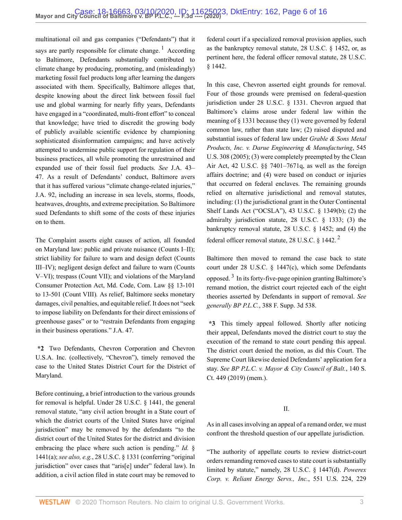multinational oil and gas companies ("Defendants") that it says are partly responsible for climate change.<sup>[1](#page-14-0)</sup> According to Baltimore, Defendants substantially contributed to climate change by producing, promoting, and (misleadingly) marketing fossil fuel products long after learning the dangers associated with them. Specifically, Baltimore alleges that, despite knowing about the direct link between fossil fuel use and global warming for nearly fifty years, Defendants have engaged in a "coordinated, multi-front effort" to conceal that knowledge; have tried to discredit the growing body of publicly available scientific evidence by championing sophisticated disinformation campaigns; and have actively attempted to undermine public support for regulation of their business practices, all while promoting the unrestrained and expanded use of their fossil fuel products. *See* J.A. 43– 47. As a result of Defendants' conduct, Baltimore avers that it has suffered various "climate change-related injuries," J.A. 92, including an increase in sea levels, storms, floods, heatwaves, droughts, and extreme precipitation. So Baltimore sued Defendants to shift some of the costs of these injuries on to them.

The Complaint asserts eight causes of action, all founded on Maryland law: public and private nuisance (Counts I–II); strict liability for failure to warn and design defect (Counts III–IV); negligent design defect and failure to warn (Counts V–VI); trespass (Count VII); and violations of the Maryland Consumer Protection Act, [Md. Code, Com. Law §§ 13-101](http://www.westlaw.com/Link/Document/FullText?findType=L&pubNum=1000020&cite=MDCLS13-101&originatingDoc=I9bfa51805fc911eaa56f994ec64d0018&refType=LQ&originationContext=document&vr=3.0&rs=cblt1.0&transitionType=DocumentItem&contextData=(sc.Default)) to [13-501](http://www.westlaw.com/Link/Document/FullText?findType=L&pubNum=1000020&cite=MDCLS13-501&originatingDoc=I9bfa51805fc911eaa56f994ec64d0018&refType=LQ&originationContext=document&vr=3.0&rs=cblt1.0&transitionType=DocumentItem&contextData=(sc.Default)) (Count VIII)*.* As relief, Baltimore seeks monetary damages, civil penalties, and equitable relief. It does not "seek to impose liability on Defendants for their direct emissions of greenhouse gases" or to "restrain Defendants from engaging in their business operations." J.A. 47.

**\*2** Two Defendants, Chevron Corporation and Chevron U.S.A. Inc. (collectively, "Chevron"), timely removed the case to the United States District Court for the District of Maryland.

Before continuing, a brief introduction to the various grounds for removal is helpful. Under [28 U.S.C. § 1441,](http://www.westlaw.com/Link/Document/FullText?findType=L&pubNum=1000546&cite=28USCAS1441&originatingDoc=I9bfa51805fc911eaa56f994ec64d0018&refType=LQ&originationContext=document&vr=3.0&rs=cblt1.0&transitionType=DocumentItem&contextData=(sc.Default)) the general removal statute, "any civil action brought in a State court of which the district courts of the United States have original jurisdiction" may be removed by the defendants "to the district court of the United States for the district and division embracing the place where such action is pending." *[Id.](http://www.westlaw.com/Link/Document/FullText?findType=L&pubNum=1000546&cite=28USCAS1441&originatingDoc=I9bfa51805fc911eaa56f994ec64d0018&refType=RB&originationContext=document&vr=3.0&rs=cblt1.0&transitionType=DocumentItem&contextData=(sc.Default)#co_pp_8b3b0000958a4)* § [1441\(a\)](http://www.westlaw.com/Link/Document/FullText?findType=L&pubNum=1000546&cite=28USCAS1441&originatingDoc=I9bfa51805fc911eaa56f994ec64d0018&refType=RB&originationContext=document&vr=3.0&rs=cblt1.0&transitionType=DocumentItem&contextData=(sc.Default)#co_pp_8b3b0000958a4); *see also, e.g.*, [28 U.S.C. § 1331](http://www.westlaw.com/Link/Document/FullText?findType=L&pubNum=1000546&cite=28USCAS1331&originatingDoc=I9bfa51805fc911eaa56f994ec64d0018&refType=LQ&originationContext=document&vr=3.0&rs=cblt1.0&transitionType=DocumentItem&contextData=(sc.Default)) (conferring "original jurisdiction" over cases that "aris[e] under" federal law). In addition, a civil action filed in state court may be removed to

<span id="page-5-0"></span>federal court if a specialized removal provision applies, such as the bankruptcy removal statute, [28 U.S.C. § 1452](http://www.westlaw.com/Link/Document/FullText?findType=L&pubNum=1000546&cite=28USCAS1452&originatingDoc=I9bfa51805fc911eaa56f994ec64d0018&refType=LQ&originationContext=document&vr=3.0&rs=cblt1.0&transitionType=DocumentItem&contextData=(sc.Default)), or, as pertinent here, the federal officer removal statute, [28 U.S.C.](http://www.westlaw.com/Link/Document/FullText?findType=L&pubNum=1000546&cite=28USCAS1442&originatingDoc=I9bfa51805fc911eaa56f994ec64d0018&refType=LQ&originationContext=document&vr=3.0&rs=cblt1.0&transitionType=DocumentItem&contextData=(sc.Default)) [§ 1442](http://www.westlaw.com/Link/Document/FullText?findType=L&pubNum=1000546&cite=28USCAS1442&originatingDoc=I9bfa51805fc911eaa56f994ec64d0018&refType=LQ&originationContext=document&vr=3.0&rs=cblt1.0&transitionType=DocumentItem&contextData=(sc.Default)).

In this case, Chevron asserted eight grounds for removal. Four of those grounds were premised on federal-question jurisdiction under [28 U.S.C. § 1331](http://www.westlaw.com/Link/Document/FullText?findType=L&pubNum=1000546&cite=28USCAS1331&originatingDoc=I9bfa51805fc911eaa56f994ec64d0018&refType=LQ&originationContext=document&vr=3.0&rs=cblt1.0&transitionType=DocumentItem&contextData=(sc.Default)). Chevron argued that Baltimore's claims arose under federal law within the meaning of [§ 1331](http://www.westlaw.com/Link/Document/FullText?findType=L&pubNum=1000546&cite=28USCAS1331&originatingDoc=I9bfa51805fc911eaa56f994ec64d0018&refType=LQ&originationContext=document&vr=3.0&rs=cblt1.0&transitionType=DocumentItem&contextData=(sc.Default)) because they (1) were governed by federal common law, rather than state law; (2) raised disputed and substantial issues of federal law under *[Grable & Sons Metal](http://www.westlaw.com/Link/Document/FullText?findType=Y&serNum=2006791874&pubNum=0000780&originatingDoc=I9bfa51805fc911eaa56f994ec64d0018&refType=RP&originationContext=document&vr=3.0&rs=cblt1.0&transitionType=DocumentItem&contextData=(sc.Default)) [Products, Inc. v. Darue Engineering & Manufacturing](http://www.westlaw.com/Link/Document/FullText?findType=Y&serNum=2006791874&pubNum=0000780&originatingDoc=I9bfa51805fc911eaa56f994ec64d0018&refType=RP&originationContext=document&vr=3.0&rs=cblt1.0&transitionType=DocumentItem&contextData=(sc.Default))*, 545 [U.S. 308 \(2005\)](http://www.westlaw.com/Link/Document/FullText?findType=Y&serNum=2006791874&pubNum=0000780&originatingDoc=I9bfa51805fc911eaa56f994ec64d0018&refType=RP&originationContext=document&vr=3.0&rs=cblt1.0&transitionType=DocumentItem&contextData=(sc.Default)); (3) were completely preempted by the Clean Air Act, [42 U.S.C. §§ 7401](http://www.westlaw.com/Link/Document/FullText?findType=L&pubNum=1000546&cite=42USCAS7401&originatingDoc=I9bfa51805fc911eaa56f994ec64d0018&refType=LQ&originationContext=document&vr=3.0&rs=cblt1.0&transitionType=DocumentItem&contextData=(sc.Default))[–7671q](http://www.westlaw.com/Link/Document/FullText?findType=L&pubNum=1000546&cite=42USCAS7671Q&originatingDoc=I9bfa51805fc911eaa56f994ec64d0018&refType=LQ&originationContext=document&vr=3.0&rs=cblt1.0&transitionType=DocumentItem&contextData=(sc.Default)), as well as the foreign affairs doctrine; and (4) were based on conduct or injuries that occurred on federal enclaves. The remaining grounds relied on alternative jurisdictional and removal statutes, including: (1) the jurisdictional grant in the Outer Continental Shelf Lands Act ("OCSLA"), [43 U.S.C. § 1349\(b\)](http://www.westlaw.com/Link/Document/FullText?findType=L&pubNum=1000546&cite=43USCAS1349&originatingDoc=I9bfa51805fc911eaa56f994ec64d0018&refType=RB&originationContext=document&vr=3.0&rs=cblt1.0&transitionType=DocumentItem&contextData=(sc.Default)#co_pp_a83b000018c76); (2) the admiralty jurisdiction statute, [28 U.S.C. § 1333;](http://www.westlaw.com/Link/Document/FullText?findType=L&pubNum=1000546&cite=28USCAS1333&originatingDoc=I9bfa51805fc911eaa56f994ec64d0018&refType=LQ&originationContext=document&vr=3.0&rs=cblt1.0&transitionType=DocumentItem&contextData=(sc.Default)) (3) the bankruptcy removal statute, [28 U.S.C. § 1452;](http://www.westlaw.com/Link/Document/FullText?findType=L&pubNum=1000546&cite=28USCAS1452&originatingDoc=I9bfa51805fc911eaa56f994ec64d0018&refType=LQ&originationContext=document&vr=3.0&rs=cblt1.0&transitionType=DocumentItem&contextData=(sc.Default)) and (4) the federal officer removal statute, [2](#page-14-1)8 U.S.C.  $\S$  1442.<sup>2</sup>

<span id="page-5-2"></span><span id="page-5-1"></span>Baltimore then moved to remand the case back to state court under [28 U.S.C. § 1447\(c\)](http://www.westlaw.com/Link/Document/FullText?findType=L&pubNum=1000546&cite=28USCAS1447&originatingDoc=I9bfa51805fc911eaa56f994ec64d0018&refType=RB&originationContext=document&vr=3.0&rs=cblt1.0&transitionType=DocumentItem&contextData=(sc.Default)#co_pp_4b24000003ba5), which some Defendants opposed.<sup>[3](#page-14-2)</sup> In its forty-five-page opinion granting Baltimore's remand motion, the district court rejected each of the eight theories asserted by Defendants in support of removal. *See generally BP P.L.C.*[, 388 F. Supp. 3d 538.](http://www.westlaw.com/Link/Document/FullText?findType=Y&serNum=2048466347&pubNum=0007903&originatingDoc=I9bfa51805fc911eaa56f994ec64d0018&refType=RP&originationContext=document&vr=3.0&rs=cblt1.0&transitionType=DocumentItem&contextData=(sc.Default))

**\*3** This timely appeal followed. Shortly after noticing their appeal, Defendants moved the district court to stay the execution of the remand to state court pending this appeal. The district court denied the motion, as did this Court. The Supreme Court likewise denied Defendants' application for a stay. *See [BP P.L.C. v. Mayor & City Council of Balt.](http://www.westlaw.com/Link/Document/FullText?findType=Y&serNum=2049452336&pubNum=0000708&originatingDoc=I9bfa51805fc911eaa56f994ec64d0018&refType=RP&originationContext=document&vr=3.0&rs=cblt1.0&transitionType=DocumentItem&contextData=(sc.Default))*, 140 S. [Ct. 449 \(2019\)](http://www.westlaw.com/Link/Document/FullText?findType=Y&serNum=2049452336&pubNum=0000708&originatingDoc=I9bfa51805fc911eaa56f994ec64d0018&refType=RP&originationContext=document&vr=3.0&rs=cblt1.0&transitionType=DocumentItem&contextData=(sc.Default)) (mem.).

#### II.

As in all cases involving an appeal of a remand order, we must confront the threshold question of our appellate jurisdiction.

"The authority of appellate courts to review district-court orders remanding removed cases to state court is substantially limited by statute," namely, [28 U.S.C. § 1447\(d\)](http://www.westlaw.com/Link/Document/FullText?findType=L&pubNum=1000546&cite=28USCAS1447&originatingDoc=I9bfa51805fc911eaa56f994ec64d0018&refType=RB&originationContext=document&vr=3.0&rs=cblt1.0&transitionType=DocumentItem&contextData=(sc.Default)#co_pp_5ba1000067d06). *[Powerex](http://www.westlaw.com/Link/Document/FullText?findType=Y&serNum=2012495883&pubNum=0000780&originatingDoc=I9bfa51805fc911eaa56f994ec64d0018&refType=RP&fi=co_pp_sp_780_229&originationContext=document&vr=3.0&rs=cblt1.0&transitionType=DocumentItem&contextData=(sc.Default)#co_pp_sp_780_229) [Corp. v. Reliant Energy Servs., Inc.](http://www.westlaw.com/Link/Document/FullText?findType=Y&serNum=2012495883&pubNum=0000780&originatingDoc=I9bfa51805fc911eaa56f994ec64d0018&refType=RP&fi=co_pp_sp_780_229&originationContext=document&vr=3.0&rs=cblt1.0&transitionType=DocumentItem&contextData=(sc.Default)#co_pp_sp_780_229)*, 551 U.S. 224, 229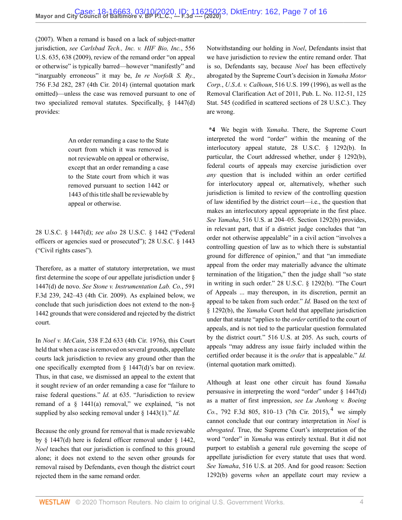[\(2007\).](http://www.westlaw.com/Link/Document/FullText?findType=Y&serNum=2012495883&pubNum=0000780&originatingDoc=I9bfa51805fc911eaa56f994ec64d0018&refType=RP&fi=co_pp_sp_780_229&originationContext=document&vr=3.0&rs=cblt1.0&transitionType=DocumentItem&contextData=(sc.Default)#co_pp_sp_780_229) When a remand is based on a lack of subject-matter jurisdiction, *see [Carlsbad Tech., Inc. v. HIF Bio, Inc.](http://www.westlaw.com/Link/Document/FullText?findType=Y&serNum=2018732547&pubNum=0000780&originatingDoc=I9bfa51805fc911eaa56f994ec64d0018&refType=RP&fi=co_pp_sp_780_638&originationContext=document&vr=3.0&rs=cblt1.0&transitionType=DocumentItem&contextData=(sc.Default)#co_pp_sp_780_638)*, 556 [U.S. 635, 638 \(2009\)](http://www.westlaw.com/Link/Document/FullText?findType=Y&serNum=2018732547&pubNum=0000780&originatingDoc=I9bfa51805fc911eaa56f994ec64d0018&refType=RP&fi=co_pp_sp_780_638&originationContext=document&vr=3.0&rs=cblt1.0&transitionType=DocumentItem&contextData=(sc.Default)#co_pp_sp_780_638), review of the remand order "on appeal or otherwise" is typically barred—however "manifestly" and "inarguably erroneous" it may be, *[In re Norfolk S. Ry.](http://www.westlaw.com/Link/Document/FullText?findType=Y&serNum=2033644302&pubNum=0000506&originatingDoc=I9bfa51805fc911eaa56f994ec64d0018&refType=RP&fi=co_pp_sp_506_287&originationContext=document&vr=3.0&rs=cblt1.0&transitionType=DocumentItem&contextData=(sc.Default)#co_pp_sp_506_287)*, [756 F.3d 282, 287 \(4th Cir. 2014\)](http://www.westlaw.com/Link/Document/FullText?findType=Y&serNum=2033644302&pubNum=0000506&originatingDoc=I9bfa51805fc911eaa56f994ec64d0018&refType=RP&fi=co_pp_sp_506_287&originationContext=document&vr=3.0&rs=cblt1.0&transitionType=DocumentItem&contextData=(sc.Default)#co_pp_sp_506_287) (internal quotation mark omitted)—unless the case was removed pursuant to one of two specialized removal statutes. Specifically, [§ 1447\(d\)](http://www.westlaw.com/Link/Document/FullText?findType=L&pubNum=1000546&cite=28USCAS1447&originatingDoc=I9bfa51805fc911eaa56f994ec64d0018&refType=RB&originationContext=document&vr=3.0&rs=cblt1.0&transitionType=DocumentItem&contextData=(sc.Default)#co_pp_5ba1000067d06) provides:

> An order remanding a case to the State court from which it was removed is not reviewable on appeal or otherwise, except that an order remanding a case to the State court from which it was removed pursuant to [section 1442](http://www.westlaw.com/Link/Document/FullText?findType=L&pubNum=1000546&cite=28USCAS1442&originatingDoc=I9bfa51805fc911eaa56f994ec64d0018&refType=LQ&originationContext=document&vr=3.0&rs=cblt1.0&transitionType=DocumentItem&contextData=(sc.Default)) or [1443](http://www.westlaw.com/Link/Document/FullText?findType=L&pubNum=1000546&cite=28USCAS1443&originatingDoc=I9bfa51805fc911eaa56f994ec64d0018&refType=LQ&originationContext=document&vr=3.0&rs=cblt1.0&transitionType=DocumentItem&contextData=(sc.Default)) of this title shall be reviewable by appeal or otherwise.

[28 U.S.C. § 1447\(d\);](http://www.westlaw.com/Link/Document/FullText?findType=L&pubNum=1000546&cite=28USCAS1447&originatingDoc=I9bfa51805fc911eaa56f994ec64d0018&refType=RB&originationContext=document&vr=3.0&rs=cblt1.0&transitionType=DocumentItem&contextData=(sc.Default)#co_pp_5ba1000067d06) *see also* [28 U.S.C. § 1442](http://www.westlaw.com/Link/Document/FullText?findType=L&pubNum=1000546&cite=28USCAS1442&originatingDoc=I9bfa51805fc911eaa56f994ec64d0018&refType=LQ&originationContext=document&vr=3.0&rs=cblt1.0&transitionType=DocumentItem&contextData=(sc.Default)) ("Federal officers or agencies sued or prosecuted"); [28 U.S.C. § 1443](http://www.westlaw.com/Link/Document/FullText?findType=L&pubNum=1000546&cite=28USCAS1443&originatingDoc=I9bfa51805fc911eaa56f994ec64d0018&refType=LQ&originationContext=document&vr=3.0&rs=cblt1.0&transitionType=DocumentItem&contextData=(sc.Default)) ("Civil rights cases").

Therefore, as a matter of statutory interpretation, we must first determine the scope of our appellate jurisdiction under [§](http://www.westlaw.com/Link/Document/FullText?findType=L&pubNum=1000546&cite=28USCAS1447&originatingDoc=I9bfa51805fc911eaa56f994ec64d0018&refType=RB&originationContext=document&vr=3.0&rs=cblt1.0&transitionType=DocumentItem&contextData=(sc.Default)#co_pp_5ba1000067d06) [1447\(d\)](http://www.westlaw.com/Link/Document/FullText?findType=L&pubNum=1000546&cite=28USCAS1447&originatingDoc=I9bfa51805fc911eaa56f994ec64d0018&refType=RB&originationContext=document&vr=3.0&rs=cblt1.0&transitionType=DocumentItem&contextData=(sc.Default)#co_pp_5ba1000067d06) de novo. *See [Stone v. Instrumentation Lab. Co.](http://www.westlaw.com/Link/Document/FullText?findType=Y&serNum=2020967160&pubNum=0000506&originatingDoc=I9bfa51805fc911eaa56f994ec64d0018&refType=RP&fi=co_pp_sp_506_242&originationContext=document&vr=3.0&rs=cblt1.0&transitionType=DocumentItem&contextData=(sc.Default)#co_pp_sp_506_242)*, 591 [F.3d 239, 242–43 \(4th Cir. 2009\).](http://www.westlaw.com/Link/Document/FullText?findType=Y&serNum=2020967160&pubNum=0000506&originatingDoc=I9bfa51805fc911eaa56f994ec64d0018&refType=RP&fi=co_pp_sp_506_242&originationContext=document&vr=3.0&rs=cblt1.0&transitionType=DocumentItem&contextData=(sc.Default)#co_pp_sp_506_242) As explained below, we conclude that such jurisdiction does not extend to the non-[§](http://www.westlaw.com/Link/Document/FullText?findType=L&pubNum=1000546&cite=28USCAS1442&originatingDoc=I9bfa51805fc911eaa56f994ec64d0018&refType=LQ&originationContext=document&vr=3.0&rs=cblt1.0&transitionType=DocumentItem&contextData=(sc.Default)) [1442](http://www.westlaw.com/Link/Document/FullText?findType=L&pubNum=1000546&cite=28USCAS1442&originatingDoc=I9bfa51805fc911eaa56f994ec64d0018&refType=LQ&originationContext=document&vr=3.0&rs=cblt1.0&transitionType=DocumentItem&contextData=(sc.Default)) grounds that were considered and rejected by the district court.

In *Noel v. McCain*[, 538 F.2d 633 \(4th Cir. 1976\)](http://www.westlaw.com/Link/Document/FullText?findType=Y&serNum=1976123958&pubNum=0000350&originatingDoc=I9bfa51805fc911eaa56f994ec64d0018&refType=RP&originationContext=document&vr=3.0&rs=cblt1.0&transitionType=DocumentItem&contextData=(sc.Default)), this Court held that when a case is removed on several grounds, appellate courts lack jurisdiction to review any ground other than the one specifically exempted from [§ 1447\(d\)'](http://www.westlaw.com/Link/Document/FullText?findType=L&pubNum=1000546&cite=28USCAS1447&originatingDoc=I9bfa51805fc911eaa56f994ec64d0018&refType=RB&originationContext=document&vr=3.0&rs=cblt1.0&transitionType=DocumentItem&contextData=(sc.Default)#co_pp_5ba1000067d06)s bar on review. Thus, in that case, we dismissed an appeal to the extent that it sought review of an order remanding a case for "failure to raise federal questions." *Id.* [at 635](http://www.westlaw.com/Link/Document/FullText?findType=Y&serNum=1976123958&pubNum=0000350&originatingDoc=I9bfa51805fc911eaa56f994ec64d0018&refType=RP&fi=co_pp_sp_350_635&originationContext=document&vr=3.0&rs=cblt1.0&transitionType=DocumentItem&contextData=(sc.Default)#co_pp_sp_350_635). "Jurisdiction to review remand of a  $\S$  1441(a) removal," we explained, "is not supplied by also seeking removal under [§ 1443\(1\)](http://www.westlaw.com/Link/Document/FullText?findType=L&pubNum=1000546&cite=28USCAS1443&originatingDoc=I9bfa51805fc911eaa56f994ec64d0018&refType=RB&originationContext=document&vr=3.0&rs=cblt1.0&transitionType=DocumentItem&contextData=(sc.Default)#co_pp_f1c50000821b0)." *Id.*

Because the only ground for removal that is made reviewable by [§ 1447\(d\)](http://www.westlaw.com/Link/Document/FullText?findType=L&pubNum=1000546&cite=28USCAS1447&originatingDoc=I9bfa51805fc911eaa56f994ec64d0018&refType=RB&originationContext=document&vr=3.0&rs=cblt1.0&transitionType=DocumentItem&contextData=(sc.Default)#co_pp_5ba1000067d06) here is federal officer removal under [§ 1442](http://www.westlaw.com/Link/Document/FullText?findType=L&pubNum=1000546&cite=28USCAS1442&originatingDoc=I9bfa51805fc911eaa56f994ec64d0018&refType=LQ&originationContext=document&vr=3.0&rs=cblt1.0&transitionType=DocumentItem&contextData=(sc.Default)), *Noel* teaches that our jurisdiction is confined to this ground alone; it does not extend to the seven other grounds for removal raised by Defendants, even though the district court rejected them in the same remand order.

Notwithstanding our holding in *Noel*, Defendants insist that we have jurisdiction to review the entire remand order. That is so, Defendants say, because *Noel* has been effectively abrogated by the Supreme Court's decision in *[Yamaha Motor](http://www.westlaw.com/Link/Document/FullText?findType=Y&serNum=1996026195&pubNum=0000780&originatingDoc=I9bfa51805fc911eaa56f994ec64d0018&refType=RP&originationContext=document&vr=3.0&rs=cblt1.0&transitionType=DocumentItem&contextData=(sc.Default)) Corp.*, *U.S.A. v. Calhoun*[, 516 U.S. 199 \(1996\)](http://www.westlaw.com/Link/Document/FullText?findType=Y&serNum=1996026195&pubNum=0000780&originatingDoc=I9bfa51805fc911eaa56f994ec64d0018&refType=RP&originationContext=document&vr=3.0&rs=cblt1.0&transitionType=DocumentItem&contextData=(sc.Default)), as well as the Removal Clarification Act of 2011, [Pub. L. No. 112-51, 125](http://www.westlaw.com/Link/Document/FullText?findType=l&pubNum=1077005&cite=UUID(IAD9CADE011-8311E1AB47C-86823D4E8CA)&originatingDoc=I9bfa51805fc911eaa56f994ec64d0018&refType=SL&originationContext=document&vr=3.0&rs=cblt1.0&transitionType=DocumentItem&contextData=(sc.Default)) [Stat. 545 \(](http://www.westlaw.com/Link/Document/FullText?findType=l&pubNum=1077005&cite=UUID(IAD9CADE011-8311E1AB47C-86823D4E8CA)&originatingDoc=I9bfa51805fc911eaa56f994ec64d0018&refType=SL&originationContext=document&vr=3.0&rs=cblt1.0&transitionType=DocumentItem&contextData=(sc.Default))codified in scattered sections of 28 U.S.C.). They are wrong.

**\*4** We begin with *Yamaha*. There, the Supreme Court interpreted the word "order" within the meaning of the interlocutory appeal statute, [28 U.S.C. § 1292\(b\).](http://www.westlaw.com/Link/Document/FullText?findType=L&pubNum=1000546&cite=28USCAS1292&originatingDoc=I9bfa51805fc911eaa56f994ec64d0018&refType=RB&originationContext=document&vr=3.0&rs=cblt1.0&transitionType=DocumentItem&contextData=(sc.Default)#co_pp_a83b000018c76) In particular, the Court addressed whether, under [§ 1292\(b\)](http://www.westlaw.com/Link/Document/FullText?findType=L&pubNum=1000546&cite=28USCAS1292&originatingDoc=I9bfa51805fc911eaa56f994ec64d0018&refType=RB&originationContext=document&vr=3.0&rs=cblt1.0&transitionType=DocumentItem&contextData=(sc.Default)#co_pp_a83b000018c76), federal courts of appeals may exercise jurisdiction over *any* question that is included within an order certified for interlocutory appeal or, alternatively, whether such jurisdiction is limited to review of the controlling question of law identified by the district court—i.e., the question that makes an interlocutory appeal appropriate in the first place. *See Yamaha*[, 516 U.S. at 204–05](http://www.westlaw.com/Link/Document/FullText?findType=Y&serNum=1996026195&pubNum=0000780&originatingDoc=I9bfa51805fc911eaa56f994ec64d0018&refType=RP&fi=co_pp_sp_780_204&originationContext=document&vr=3.0&rs=cblt1.0&transitionType=DocumentItem&contextData=(sc.Default)#co_pp_sp_780_204). [Section 1292\(b\)](http://www.westlaw.com/Link/Document/FullText?findType=L&pubNum=1000546&cite=28USCAS1292&originatingDoc=I9bfa51805fc911eaa56f994ec64d0018&refType=RB&originationContext=document&vr=3.0&rs=cblt1.0&transitionType=DocumentItem&contextData=(sc.Default)#co_pp_a83b000018c76) provides, in relevant part, that if a district judge concludes that "an order not otherwise appealable" in a civil action "involves a controlling question of law as to which there is substantial ground for difference of opinion," and that "an immediate appeal from the order may materially advance the ultimate termination of the litigation," then the judge shall "so state in writing in such order." [28 U.S.C. § 1292\(b\).](http://www.westlaw.com/Link/Document/FullText?findType=L&pubNum=1000546&cite=28USCAS1292&originatingDoc=I9bfa51805fc911eaa56f994ec64d0018&refType=RB&originationContext=document&vr=3.0&rs=cblt1.0&transitionType=DocumentItem&contextData=(sc.Default)#co_pp_a83b000018c76) "The Court of Appeals ... may thereupon, in its discretion, permit an appeal to be taken from such order." *Id.* Based on the text of [§ 1292\(b\),](http://www.westlaw.com/Link/Document/FullText?findType=L&pubNum=1000546&cite=28USCAS1292&originatingDoc=I9bfa51805fc911eaa56f994ec64d0018&refType=RB&originationContext=document&vr=3.0&rs=cblt1.0&transitionType=DocumentItem&contextData=(sc.Default)#co_pp_a83b000018c76) the *Yamaha* Court held that appellate jurisdiction under that statute "applies to the *order* certified to the court of appeals, and is not tied to the particular question formulated by the district court." [516 U.S. at 205](http://www.westlaw.com/Link/Document/FullText?findType=Y&serNum=1996026195&pubNum=0000780&originatingDoc=I9bfa51805fc911eaa56f994ec64d0018&refType=RP&fi=co_pp_sp_780_205&originationContext=document&vr=3.0&rs=cblt1.0&transitionType=DocumentItem&contextData=(sc.Default)#co_pp_sp_780_205). As such, courts of appeals "may address any issue fairly included within the certified order because it is the *order* that is appealable." *Id.* (internal quotation mark omitted).

<span id="page-6-0"></span>Although at least one other circuit has found *Yamaha* persuasive in interpreting the word "order" under  $\S$  1447(d) as a matter of first impression, *see [Lu Junhong v. Boeing](http://www.westlaw.com/Link/Document/FullText?findType=Y&serNum=2036640778&pubNum=0000506&originatingDoc=I9bfa51805fc911eaa56f994ec64d0018&refType=RP&fi=co_pp_sp_506_810&originationContext=document&vr=3.0&rs=cblt1.0&transitionType=DocumentItem&contextData=(sc.Default)#co_pp_sp_506_810)* Co.[, 792 F.3d 805, 810–13 \(7th Cir. 2015\)](http://www.westlaw.com/Link/Document/FullText?findType=Y&serNum=2036640778&pubNum=0000506&originatingDoc=I9bfa51805fc911eaa56f994ec64d0018&refType=RP&fi=co_pp_sp_506_810&originationContext=document&vr=3.0&rs=cblt1.0&transitionType=DocumentItem&contextData=(sc.Default)#co_pp_sp_506_810), <sup>[4](#page-14-3)</sup> we simply cannot conclude that our contrary interpretation in *Noel* is *abrogated*. True, the Supreme Court's interpretation of the word "order" in *Yamaha* was entirely textual. But it did not purport to establish a general rule governing the scope of appellate jurisdiction for every statute that uses that word. *See Yamaha*[, 516 U.S. at 205](http://www.westlaw.com/Link/Document/FullText?findType=Y&serNum=1996026195&pubNum=0000780&originatingDoc=I9bfa51805fc911eaa56f994ec64d0018&refType=RP&fi=co_pp_sp_780_205&originationContext=document&vr=3.0&rs=cblt1.0&transitionType=DocumentItem&contextData=(sc.Default)#co_pp_sp_780_205). And for good reason: [Section](http://www.westlaw.com/Link/Document/FullText?findType=L&pubNum=1000546&cite=28USCAS1292&originatingDoc=I9bfa51805fc911eaa56f994ec64d0018&refType=RB&originationContext=document&vr=3.0&rs=cblt1.0&transitionType=DocumentItem&contextData=(sc.Default)#co_pp_a83b000018c76) [1292\(b\)](http://www.westlaw.com/Link/Document/FullText?findType=L&pubNum=1000546&cite=28USCAS1292&originatingDoc=I9bfa51805fc911eaa56f994ec64d0018&refType=RB&originationContext=document&vr=3.0&rs=cblt1.0&transitionType=DocumentItem&contextData=(sc.Default)#co_pp_a83b000018c76) governs *when* an appellate court may review a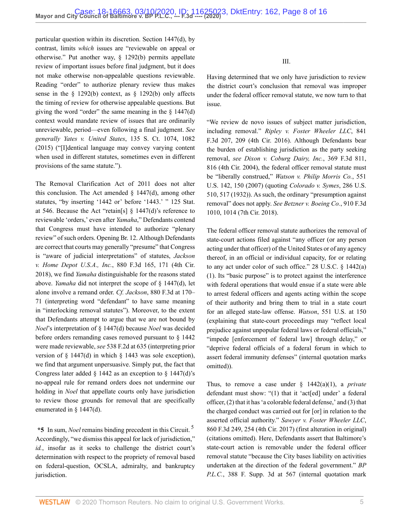particular question within its discretion. [Section 1447\(d\),](http://www.westlaw.com/Link/Document/FullText?findType=L&pubNum=1000546&cite=28USCAS1447&originatingDoc=I9bfa51805fc911eaa56f994ec64d0018&refType=RB&originationContext=document&vr=3.0&rs=cblt1.0&transitionType=DocumentItem&contextData=(sc.Default)#co_pp_5ba1000067d06) by contrast, limits *which* issues are "reviewable on appeal or otherwise." Put another way, [§ 1292\(b\)](http://www.westlaw.com/Link/Document/FullText?findType=L&pubNum=1000546&cite=28USCAS1292&originatingDoc=I9bfa51805fc911eaa56f994ec64d0018&refType=RB&originationContext=document&vr=3.0&rs=cblt1.0&transitionType=DocumentItem&contextData=(sc.Default)#co_pp_a83b000018c76) permits appellate review of important issues before final judgment, but it does not make otherwise non-appealable questions reviewable. Reading "order" to authorize plenary review thus makes sense in the  $\S$  1292(b) context, as  $\S$  1292(b) only affects the timing of review for otherwise appealable questions. But giving the word "order" the same meaning in the  $\S$  1447(d) context would mandate review of issues that are ordinarily unreviewable, period—even following a final judgment. *See generally Yates v. United States*[, 135 S. Ct. 1074, 1082](http://www.westlaw.com/Link/Document/FullText?findType=Y&serNum=2035496669&pubNum=0000708&originatingDoc=I9bfa51805fc911eaa56f994ec64d0018&refType=RP&fi=co_pp_sp_708_1082&originationContext=document&vr=3.0&rs=cblt1.0&transitionType=DocumentItem&contextData=(sc.Default)#co_pp_sp_708_1082) [\(2015\)](http://www.westlaw.com/Link/Document/FullText?findType=Y&serNum=2035496669&pubNum=0000708&originatingDoc=I9bfa51805fc911eaa56f994ec64d0018&refType=RP&fi=co_pp_sp_708_1082&originationContext=document&vr=3.0&rs=cblt1.0&transitionType=DocumentItem&contextData=(sc.Default)#co_pp_sp_708_1082) ("[I]dentical language may convey varying content when used in different statutes, sometimes even in different provisions of the same statute.").

The Removal Clarification Act of 2011 does not alter this conclusion. The Act amended  $\S$  1447(d), among other statutes, "by inserting '1442 or' before '1443.' " 125 Stat. at 546. Because the Act "retain[s] [§ 1447\(d\)](http://www.westlaw.com/Link/Document/FullText?findType=L&pubNum=1000546&cite=28USCAS1447&originatingDoc=I9bfa51805fc911eaa56f994ec64d0018&refType=RB&originationContext=document&vr=3.0&rs=cblt1.0&transitionType=DocumentItem&contextData=(sc.Default)#co_pp_5ba1000067d06)'s reference to reviewable 'orders,' even after *Yamaha*," Defendants contend that Congress must have intended to authorize "plenary review" of such orders. Opening Br. 12. Although Defendants are correct that courts may generally "presume" that Congress is "aware of judicial interpretations" of statutes, *[Jackson](http://www.westlaw.com/Link/Document/FullText?findType=Y&serNum=2043652019&pubNum=0000506&originatingDoc=I9bfa51805fc911eaa56f994ec64d0018&refType=RP&fi=co_pp_sp_506_171&originationContext=document&vr=3.0&rs=cblt1.0&transitionType=DocumentItem&contextData=(sc.Default)#co_pp_sp_506_171) v. Home Depot U.S.A., Inc.*[, 880 F.3d 165, 171 \(4th Cir.](http://www.westlaw.com/Link/Document/FullText?findType=Y&serNum=2043652019&pubNum=0000506&originatingDoc=I9bfa51805fc911eaa56f994ec64d0018&refType=RP&fi=co_pp_sp_506_171&originationContext=document&vr=3.0&rs=cblt1.0&transitionType=DocumentItem&contextData=(sc.Default)#co_pp_sp_506_171) [2018\)](http://www.westlaw.com/Link/Document/FullText?findType=Y&serNum=2043652019&pubNum=0000506&originatingDoc=I9bfa51805fc911eaa56f994ec64d0018&refType=RP&fi=co_pp_sp_506_171&originationContext=document&vr=3.0&rs=cblt1.0&transitionType=DocumentItem&contextData=(sc.Default)#co_pp_sp_506_171), we find *Yamaha* distinguishable for the reasons stated above. *Yamaha* did not interpret the scope of [§ 1447\(d\)](http://www.westlaw.com/Link/Document/FullText?findType=L&pubNum=1000546&cite=28USCAS1447&originatingDoc=I9bfa51805fc911eaa56f994ec64d0018&refType=RB&originationContext=document&vr=3.0&rs=cblt1.0&transitionType=DocumentItem&contextData=(sc.Default)#co_pp_5ba1000067d06), let alone involve a remand order. *Cf. Jackson*[, 880 F.3d at 170–](http://www.westlaw.com/Link/Document/FullText?findType=Y&serNum=2043652019&pubNum=0000506&originatingDoc=I9bfa51805fc911eaa56f994ec64d0018&refType=RP&fi=co_pp_sp_506_170&originationContext=document&vr=3.0&rs=cblt1.0&transitionType=DocumentItem&contextData=(sc.Default)#co_pp_sp_506_170) [71](http://www.westlaw.com/Link/Document/FullText?findType=Y&serNum=2043652019&pubNum=0000506&originatingDoc=I9bfa51805fc911eaa56f994ec64d0018&refType=RP&fi=co_pp_sp_506_170&originationContext=document&vr=3.0&rs=cblt1.0&transitionType=DocumentItem&contextData=(sc.Default)#co_pp_sp_506_170) (interpreting word "defendant" to have same meaning in "interlocking removal statutes"). Moreover, to the extent that Defendants attempt to argue that we are not bound by *Noel*'s interpretation of [§ 1447\(d\)](http://www.westlaw.com/Link/Document/FullText?findType=L&pubNum=1000546&cite=28USCAS1447&originatingDoc=I9bfa51805fc911eaa56f994ec64d0018&refType=RB&originationContext=document&vr=3.0&rs=cblt1.0&transitionType=DocumentItem&contextData=(sc.Default)#co_pp_5ba1000067d06) because *Noel* was decided before orders remanding cases removed pursuant to [§ 1442](http://www.westlaw.com/Link/Document/FullText?findType=L&pubNum=1000546&cite=28USCAS1442&originatingDoc=I9bfa51805fc911eaa56f994ec64d0018&refType=LQ&originationContext=document&vr=3.0&rs=cblt1.0&transitionType=DocumentItem&contextData=(sc.Default)) were made reviewable, *see* [538 F.2d at 635](http://www.westlaw.com/Link/Document/FullText?findType=Y&serNum=1976123958&pubNum=0000350&originatingDoc=I9bfa51805fc911eaa56f994ec64d0018&refType=RP&fi=co_pp_sp_350_635&originationContext=document&vr=3.0&rs=cblt1.0&transitionType=DocumentItem&contextData=(sc.Default)#co_pp_sp_350_635) (interpreting prior version of [§ 1447\(d\)](http://www.westlaw.com/Link/Document/FullText?findType=L&pubNum=1000546&cite=28USCAS1447&originatingDoc=I9bfa51805fc911eaa56f994ec64d0018&refType=RB&originationContext=document&vr=3.0&rs=cblt1.0&transitionType=DocumentItem&contextData=(sc.Default)#co_pp_5ba1000067d06) in which [§ 1443](http://www.westlaw.com/Link/Document/FullText?findType=L&pubNum=1000546&cite=28USCAS1443&originatingDoc=I9bfa51805fc911eaa56f994ec64d0018&refType=LQ&originationContext=document&vr=3.0&rs=cblt1.0&transitionType=DocumentItem&contextData=(sc.Default)) was sole exception), we find that argument unpersuasive. Simply put, the fact that Congress later added  $\S$  1442 as an exception to  $\S$  1447(d)'s no-appeal rule for remand orders does not undermine our holding in *Noel* that appellate courts only have jurisdiction to review those grounds for removal that are specifically enumerated in [§ 1447\(d\).](http://www.westlaw.com/Link/Document/FullText?findType=L&pubNum=1000546&cite=28USCAS1447&originatingDoc=I9bfa51805fc911eaa56f994ec64d0018&refType=RB&originationContext=document&vr=3.0&rs=cblt1.0&transitionType=DocumentItem&contextData=(sc.Default)#co_pp_5ba1000067d06)

**\*5** In sum, *Noel* remains binding precedent in this Circuit. [5](#page-14-4) Accordingly, "we dismiss this appeal for lack of jurisdiction," *id.*, insofar as it seeks to challenge the district court's determination with respect to the propriety of removal based on federal-question, OCSLA, admiralty, and bankruptcy jurisdiction.

III.

Having determined that we only have jurisdiction to review the district court's conclusion that removal was improper under the federal officer removal statute, we now turn to that issue.

"We review de novo issues of subject matter jurisdiction, including removal." *[Ripley v. Foster Wheeler LLC](http://www.westlaw.com/Link/Document/FullText?findType=Y&serNum=2040226965&pubNum=0000506&originatingDoc=I9bfa51805fc911eaa56f994ec64d0018&refType=RP&fi=co_pp_sp_506_209&originationContext=document&vr=3.0&rs=cblt1.0&transitionType=DocumentItem&contextData=(sc.Default)#co_pp_sp_506_209)*, 841 [F.3d 207, 209 \(4th Cir. 2016\)](http://www.westlaw.com/Link/Document/FullText?findType=Y&serNum=2040226965&pubNum=0000506&originatingDoc=I9bfa51805fc911eaa56f994ec64d0018&refType=RP&fi=co_pp_sp_506_209&originationContext=document&vr=3.0&rs=cblt1.0&transitionType=DocumentItem&contextData=(sc.Default)#co_pp_sp_506_209). Although Defendants bear the burden of establishing jurisdiction as the party seeking removal, *see [Dixon v. Coburg Dairy, Inc.](http://www.westlaw.com/Link/Document/FullText?findType=Y&serNum=2004508406&pubNum=0000506&originatingDoc=I9bfa51805fc911eaa56f994ec64d0018&refType=RP&fi=co_pp_sp_506_816&originationContext=document&vr=3.0&rs=cblt1.0&transitionType=DocumentItem&contextData=(sc.Default)#co_pp_sp_506_816)*, 369 F.3d 811, [816 \(4th Cir. 2004\)](http://www.westlaw.com/Link/Document/FullText?findType=Y&serNum=2004508406&pubNum=0000506&originatingDoc=I9bfa51805fc911eaa56f994ec64d0018&refType=RP&fi=co_pp_sp_506_816&originationContext=document&vr=3.0&rs=cblt1.0&transitionType=DocumentItem&contextData=(sc.Default)#co_pp_sp_506_816), the federal officer removal statute must be "liberally construed," *[Watson v. Philip Morris Co.](http://www.westlaw.com/Link/Document/FullText?findType=Y&serNum=2012447002&pubNum=0000780&originatingDoc=I9bfa51805fc911eaa56f994ec64d0018&refType=RP&fi=co_pp_sp_780_150&originationContext=document&vr=3.0&rs=cblt1.0&transitionType=DocumentItem&contextData=(sc.Default)#co_pp_sp_780_150)*, 551 [U.S. 142, 150 \(2007\)](http://www.westlaw.com/Link/Document/FullText?findType=Y&serNum=2012447002&pubNum=0000780&originatingDoc=I9bfa51805fc911eaa56f994ec64d0018&refType=RP&fi=co_pp_sp_780_150&originationContext=document&vr=3.0&rs=cblt1.0&transitionType=DocumentItem&contextData=(sc.Default)#co_pp_sp_780_150) (quoting *[Colorado v. Symes](http://www.westlaw.com/Link/Document/FullText?findType=Y&serNum=1932123541&pubNum=0000780&originatingDoc=I9bfa51805fc911eaa56f994ec64d0018&refType=RP&fi=co_pp_sp_780_517&originationContext=document&vr=3.0&rs=cblt1.0&transitionType=DocumentItem&contextData=(sc.Default)#co_pp_sp_780_517)*, 286 U.S. [510, 517 \(1932\)](http://www.westlaw.com/Link/Document/FullText?findType=Y&serNum=1932123541&pubNum=0000780&originatingDoc=I9bfa51805fc911eaa56f994ec64d0018&refType=RP&fi=co_pp_sp_780_517&originationContext=document&vr=3.0&rs=cblt1.0&transitionType=DocumentItem&contextData=(sc.Default)#co_pp_sp_780_517)). As such, the ordinary "presumption against removal" does not apply. *See [Betzner v. Boeing Co.](http://www.westlaw.com/Link/Document/FullText?findType=Y&serNum=2047096316&pubNum=0000506&originatingDoc=I9bfa51805fc911eaa56f994ec64d0018&refType=RP&fi=co_pp_sp_506_1014&originationContext=document&vr=3.0&rs=cblt1.0&transitionType=DocumentItem&contextData=(sc.Default)#co_pp_sp_506_1014)*, 910 F.3d [1010, 1014 \(7th Cir. 2018\).](http://www.westlaw.com/Link/Document/FullText?findType=Y&serNum=2047096316&pubNum=0000506&originatingDoc=I9bfa51805fc911eaa56f994ec64d0018&refType=RP&fi=co_pp_sp_506_1014&originationContext=document&vr=3.0&rs=cblt1.0&transitionType=DocumentItem&contextData=(sc.Default)#co_pp_sp_506_1014)

The federal officer removal statute authorizes the removal of state-court actions filed against "any officer (or any person acting under that officer) of the United States or of any agency thereof, in an official or individual capacity, for or relating to any act under color of such office." [28 U.S.C. § 1442\(a\)](http://www.westlaw.com/Link/Document/FullText?findType=L&pubNum=1000546&cite=28USCAS1442&originatingDoc=I9bfa51805fc911eaa56f994ec64d0018&refType=RB&originationContext=document&vr=3.0&rs=cblt1.0&transitionType=DocumentItem&contextData=(sc.Default)#co_pp_7b9b000044381) [\(1\).](http://www.westlaw.com/Link/Document/FullText?findType=L&pubNum=1000546&cite=28USCAS1442&originatingDoc=I9bfa51805fc911eaa56f994ec64d0018&refType=RB&originationContext=document&vr=3.0&rs=cblt1.0&transitionType=DocumentItem&contextData=(sc.Default)#co_pp_7b9b000044381) Its "basic purpose" is to protect against the interference with federal operations that would ensue if a state were able to arrest federal officers and agents acting within the scope of their authority and bring them to trial in a state court for an alleged state-law offense. *Watson*[, 551 U.S. at 150](http://www.westlaw.com/Link/Document/FullText?findType=Y&serNum=2012447002&pubNum=0000780&originatingDoc=I9bfa51805fc911eaa56f994ec64d0018&refType=RP&fi=co_pp_sp_780_150&originationContext=document&vr=3.0&rs=cblt1.0&transitionType=DocumentItem&contextData=(sc.Default)#co_pp_sp_780_150) (explaining that state-court proceedings may "reflect local prejudice against unpopular federal laws or federal officials," "impede [enforcement of federal law] through delay," or "deprive federal officials of a federal forum in which to assert federal immunity defenses" (internal quotation marks omitted)).

<span id="page-7-0"></span>Thus, to remove a case under [§ 1442\(a\)\(1\)](http://www.westlaw.com/Link/Document/FullText?findType=L&pubNum=1000546&cite=28USCAS1442&originatingDoc=I9bfa51805fc911eaa56f994ec64d0018&refType=RB&originationContext=document&vr=3.0&rs=cblt1.0&transitionType=DocumentItem&contextData=(sc.Default)#co_pp_7b9b000044381), a *private* defendant must show: "(1) that it 'act[ed] under' a federal officer, (2) that it has 'a colorable federal defense,' and (3) that the charged conduct was carried out for [or] in relation to the asserted official authority." *[Sawyer v. Foster Wheeler LLC](http://www.westlaw.com/Link/Document/FullText?findType=Y&serNum=2041919425&pubNum=0000506&originatingDoc=I9bfa51805fc911eaa56f994ec64d0018&refType=RP&fi=co_pp_sp_506_254&originationContext=document&vr=3.0&rs=cblt1.0&transitionType=DocumentItem&contextData=(sc.Default)#co_pp_sp_506_254)*, [860 F.3d 249, 254 \(4th Cir. 2017\)](http://www.westlaw.com/Link/Document/FullText?findType=Y&serNum=2041919425&pubNum=0000506&originatingDoc=I9bfa51805fc911eaa56f994ec64d0018&refType=RP&fi=co_pp_sp_506_254&originationContext=document&vr=3.0&rs=cblt1.0&transitionType=DocumentItem&contextData=(sc.Default)#co_pp_sp_506_254) (first alteration in original) (citations omitted). Here, Defendants assert that Baltimore's state-court action is removable under the federal officer removal statute "because the City bases liability on activities undertaken at the direction of the federal government." *[BP](http://www.westlaw.com/Link/Document/FullText?findType=Y&serNum=2048466347&pubNum=0007903&originatingDoc=I9bfa51805fc911eaa56f994ec64d0018&refType=RP&fi=co_pp_sp_7903_567&originationContext=document&vr=3.0&rs=cblt1.0&transitionType=DocumentItem&contextData=(sc.Default)#co_pp_sp_7903_567) P.L.C.*[, 388 F. Supp. 3d at 567](http://www.westlaw.com/Link/Document/FullText?findType=Y&serNum=2048466347&pubNum=0007903&originatingDoc=I9bfa51805fc911eaa56f994ec64d0018&refType=RP&fi=co_pp_sp_7903_567&originationContext=document&vr=3.0&rs=cblt1.0&transitionType=DocumentItem&contextData=(sc.Default)#co_pp_sp_7903_567) (internal quotation mark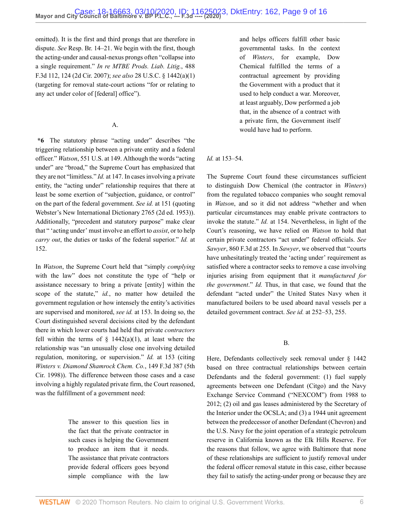omitted). It is the first and third prongs that are therefore in dispute. *See* Resp. Br. 14–21. We begin with the first, though the acting-under and causal-nexus prongs often "collapse into a single requirement." *[In re MTBE Prods. Liab. Litig.](http://www.westlaw.com/Link/Document/FullText?findType=Y&serNum=2012322768&pubNum=0000506&originatingDoc=I9bfa51805fc911eaa56f994ec64d0018&refType=RP&fi=co_pp_sp_506_124&originationContext=document&vr=3.0&rs=cblt1.0&transitionType=DocumentItem&contextData=(sc.Default)#co_pp_sp_506_124)*, 488 [F.3d 112, 124 \(2d Cir. 2007\)](http://www.westlaw.com/Link/Document/FullText?findType=Y&serNum=2012322768&pubNum=0000506&originatingDoc=I9bfa51805fc911eaa56f994ec64d0018&refType=RP&fi=co_pp_sp_506_124&originationContext=document&vr=3.0&rs=cblt1.0&transitionType=DocumentItem&contextData=(sc.Default)#co_pp_sp_506_124); *see also* [28 U.S.C. § 1442\(a\)\(1\)](http://www.westlaw.com/Link/Document/FullText?findType=L&pubNum=1000546&cite=28USCAS1442&originatingDoc=I9bfa51805fc911eaa56f994ec64d0018&refType=RB&originationContext=document&vr=3.0&rs=cblt1.0&transitionType=DocumentItem&contextData=(sc.Default)#co_pp_7b9b000044381) (targeting for removal state-court actions "for or relating to any act under color of [federal] office").

#### A.

**\*6** The statutory phrase "acting under" describes "the triggering relationship between a private entity and a federal officer." *Watson*[, 551 U.S. at 149](http://www.westlaw.com/Link/Document/FullText?findType=Y&serNum=2012447002&pubNum=0000780&originatingDoc=I9bfa51805fc911eaa56f994ec64d0018&refType=RP&fi=co_pp_sp_780_149&originationContext=document&vr=3.0&rs=cblt1.0&transitionType=DocumentItem&contextData=(sc.Default)#co_pp_sp_780_149). Although the words "acting under" are "broad," the Supreme Court has emphasized that they are not "limitless." *Id.* [at 147](http://www.westlaw.com/Link/Document/FullText?findType=Y&serNum=2012447002&pubNum=0000780&originatingDoc=I9bfa51805fc911eaa56f994ec64d0018&refType=RP&fi=co_pp_sp_780_147&originationContext=document&vr=3.0&rs=cblt1.0&transitionType=DocumentItem&contextData=(sc.Default)#co_pp_sp_780_147). In cases involving a private entity, the "acting under" relationship requires that there at least be some exertion of "subjection, guidance, or control" on the part of the federal government. *See id.* [at 151](http://www.westlaw.com/Link/Document/FullText?findType=Y&serNum=2012447002&pubNum=0000780&originatingDoc=I9bfa51805fc911eaa56f994ec64d0018&refType=RP&fi=co_pp_sp_780_151&originationContext=document&vr=3.0&rs=cblt1.0&transitionType=DocumentItem&contextData=(sc.Default)#co_pp_sp_780_151) (quoting Webster's New International Dictionary 2765 (2d ed. 1953)). Additionally, "precedent and statutory purpose" make clear that " 'acting under' must involve an effort to *assist*, or to help *carry out*, the duties or tasks of the federal superior." *Id.* [at](http://www.westlaw.com/Link/Document/FullText?findType=Y&serNum=2012447002&pubNum=0000780&originatingDoc=I9bfa51805fc911eaa56f994ec64d0018&refType=RP&fi=co_pp_sp_780_152&originationContext=document&vr=3.0&rs=cblt1.0&transitionType=DocumentItem&contextData=(sc.Default)#co_pp_sp_780_152) [152](http://www.westlaw.com/Link/Document/FullText?findType=Y&serNum=2012447002&pubNum=0000780&originatingDoc=I9bfa51805fc911eaa56f994ec64d0018&refType=RP&fi=co_pp_sp_780_152&originationContext=document&vr=3.0&rs=cblt1.0&transitionType=DocumentItem&contextData=(sc.Default)#co_pp_sp_780_152).

In *Watson*, the Supreme Court held that "simply *complying* with the law" does not constitute the type of "help or assistance necessary to bring a private [entity] within the scope of the statute," *id.*, no matter how detailed the government regulation or how intensely the entity's activities are supervised and monitored, *see id.* [at 153.](http://www.westlaw.com/Link/Document/FullText?findType=Y&serNum=2012447002&pubNum=0000780&originatingDoc=I9bfa51805fc911eaa56f994ec64d0018&refType=RP&fi=co_pp_sp_780_153&originationContext=document&vr=3.0&rs=cblt1.0&transitionType=DocumentItem&contextData=(sc.Default)#co_pp_sp_780_153) In doing so, the Court distinguished several decisions cited by the defendant there in which lower courts had held that private *contractors* fell within the terms of  $\S$  1442(a)(1), at least where the relationship was "an unusually close one involving detailed regulation, monitoring, or supervision." *Id.* [at 153](http://www.westlaw.com/Link/Document/FullText?findType=Y&serNum=2012447002&pubNum=0000780&originatingDoc=I9bfa51805fc911eaa56f994ec64d0018&refType=RP&fi=co_pp_sp_780_153&originationContext=document&vr=3.0&rs=cblt1.0&transitionType=DocumentItem&contextData=(sc.Default)#co_pp_sp_780_153) (citing *[Winters v. Diamond Shamrock Chem. Co.](http://www.westlaw.com/Link/Document/FullText?findType=Y&serNum=1998161448&pubNum=0000506&originatingDoc=I9bfa51805fc911eaa56f994ec64d0018&refType=RP&originationContext=document&vr=3.0&rs=cblt1.0&transitionType=DocumentItem&contextData=(sc.Default))*, 149 F.3d 387 (5th [Cir. 1998\)\)](http://www.westlaw.com/Link/Document/FullText?findType=Y&serNum=1998161448&pubNum=0000506&originatingDoc=I9bfa51805fc911eaa56f994ec64d0018&refType=RP&originationContext=document&vr=3.0&rs=cblt1.0&transitionType=DocumentItem&contextData=(sc.Default)). The difference between those cases and a case involving a highly regulated private firm, the Court reasoned, was the fulfillment of a government need:

> The answer to this question lies in the fact that the private contractor in such cases is helping the Government to produce an item that it needs. The assistance that private contractors provide federal officers goes beyond simple compliance with the law

and helps officers fulfill other basic governmental tasks. In the context of *Winters*, for example, Dow Chemical fulfilled the terms of a contractual agreement by providing the Government with a product that it used to help conduct a war. Moreover, at least arguably, Dow performed a job that, in the absence of a contract with a private firm, the Government itself would have had to perform.

#### *Id.* at 153–54.

The Supreme Court found these circumstances sufficient to distinguish Dow Chemical (the contractor in *Winters*) from the regulated tobacco companies who sought removal in *Watson*, and so it did not address "whether and when particular circumstances may enable private contractors to invoke the statute." *Id.* at 154. Nevertheless, in light of the Court's reasoning, we have relied on *Watson* to hold that certain private contractors "act under" federal officials. *See Sawyer*[, 860 F.3d at 255](http://www.westlaw.com/Link/Document/FullText?findType=Y&serNum=2041919425&pubNum=0000506&originatingDoc=I9bfa51805fc911eaa56f994ec64d0018&refType=RP&fi=co_pp_sp_506_255&originationContext=document&vr=3.0&rs=cblt1.0&transitionType=DocumentItem&contextData=(sc.Default)#co_pp_sp_506_255). In *Sawyer*, we observed that "courts have unhesitatingly treated the 'acting under' requirement as satisfied where a contractor seeks to remove a case involving injuries arising from equipment that it *manufactured for the government*." *Id.* Thus, in that case, we found that the defendant "acted under" the United States Navy when it manufactured boilers to be used aboard naval vessels per a detailed government contract. *See id.* [at 252–53, 255](http://www.westlaw.com/Link/Document/FullText?findType=Y&serNum=2041919425&pubNum=0000506&originatingDoc=I9bfa51805fc911eaa56f994ec64d0018&refType=RP&fi=co_pp_sp_506_252&originationContext=document&vr=3.0&rs=cblt1.0&transitionType=DocumentItem&contextData=(sc.Default)#co_pp_sp_506_252).

#### B.

Here, Defendants collectively seek removal under [§ 1442](http://www.westlaw.com/Link/Document/FullText?findType=L&pubNum=1000546&cite=28USCAS1442&originatingDoc=I9bfa51805fc911eaa56f994ec64d0018&refType=LQ&originationContext=document&vr=3.0&rs=cblt1.0&transitionType=DocumentItem&contextData=(sc.Default)) based on three contractual relationships between certain Defendants and the federal government: (1) fuel supply agreements between one Defendant (Citgo) and the Navy Exchange Service Command ("NEXCOM") from 1988 to 2012; (2) oil and gas leases administered by the Secretary of the Interior under the OCSLA; and (3) a 1944 unit agreement between the predecessor of another Defendant (Chevron) and the U.S. Navy for the joint operation of a strategic petroleum reserve in California known as the Elk Hills Reserve. For the reasons that follow, we agree with Baltimore that none of these relationships are sufficient to justify removal under the federal officer removal statute in this case, either because they fail to satisfy the acting-under prong or because they are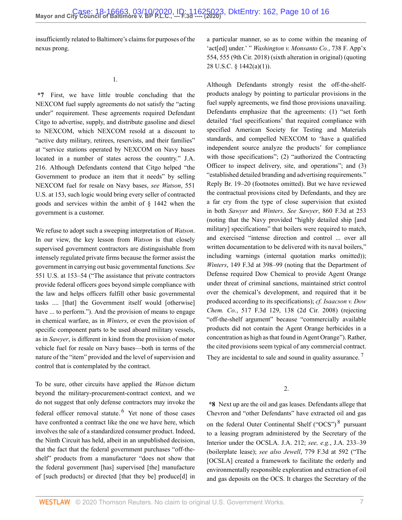insufficiently related to Baltimore's claims for purposes of the nexus prong.

**\*7** First, we have little trouble concluding that the NEXCOM fuel supply agreements do not satisfy the "acting under" requirement. These agreements required Defendant Citgo to advertise, supply, and distribute gasoline and diesel to NEXCOM, which NEXCOM resold at a discount to "active duty military, retirees, reservists, and their families" at "service stations operated by NEXCOM on Navy bases located in a number of states across the country." J.A. 216. Although Defendants contend that Citgo helped "the Government to produce an item that it needs" by selling NEXCOM fuel for resale on Navy bases, *see [Watson](http://www.westlaw.com/Link/Document/FullText?findType=Y&serNum=2012447002&pubNum=0000780&originatingDoc=I9bfa51805fc911eaa56f994ec64d0018&refType=RP&fi=co_pp_sp_780_153&originationContext=document&vr=3.0&rs=cblt1.0&transitionType=DocumentItem&contextData=(sc.Default)#co_pp_sp_780_153)*, 551 [U.S. at 153](http://www.westlaw.com/Link/Document/FullText?findType=Y&serNum=2012447002&pubNum=0000780&originatingDoc=I9bfa51805fc911eaa56f994ec64d0018&refType=RP&fi=co_pp_sp_780_153&originationContext=document&vr=3.0&rs=cblt1.0&transitionType=DocumentItem&contextData=(sc.Default)#co_pp_sp_780_153), such logic would bring every seller of contracted goods and services within the ambit of [§ 1442](http://www.westlaw.com/Link/Document/FullText?findType=L&pubNum=1000546&cite=28USCAS1442&originatingDoc=I9bfa51805fc911eaa56f994ec64d0018&refType=LQ&originationContext=document&vr=3.0&rs=cblt1.0&transitionType=DocumentItem&contextData=(sc.Default)) when the government is a customer.

We refuse to adopt such a sweeping interpretation of *Watson*. In our view, the key lesson from *Watson* is that closely supervised government contractors are distinguishable from intensely regulated private firms because the former assist the government in carrying out basic governmental functions. *See* [551 U.S. at 153–54](http://www.westlaw.com/Link/Document/FullText?findType=Y&serNum=2012447002&pubNum=0000780&originatingDoc=I9bfa51805fc911eaa56f994ec64d0018&refType=RP&fi=co_pp_sp_780_153&originationContext=document&vr=3.0&rs=cblt1.0&transitionType=DocumentItem&contextData=(sc.Default)#co_pp_sp_780_153) ("The assistance that private contractors provide federal officers goes beyond simple compliance with the law and helps officers fulfill other basic governmental tasks .... [that] the Government itself would [otherwise] have ... to perform."). And the provision of means to engage in chemical warfare, as in *Winters*, or even the provision of specific component parts to be used aboard military vessels, as in *Sawyer*, is different in kind from the provision of motor vehicle fuel for resale on Navy bases—both in terms of the nature of the "item" provided and the level of supervision and control that is contemplated by the contract.

To be sure, other circuits have applied the *Watson* dictum beyond the military-procurement-contract context, and we do not suggest that only defense contractors may invoke the federal officer removal statute. <sup>[6](#page-14-5)</sup> Yet none of those cases have confronted a contract like the one we have here, which involves the sale of a standardized consumer product. Indeed, the Ninth Circuit has held, albeit in an unpublished decision, that the fact that the federal government purchases "off-theshelf" products from a manufacturer "does not show that the federal government [has] supervised [the] manufacture of [such products] or directed [that they be] produce[d] in

a particular manner, so as to come within the meaning of 'act[ed] under.' " *[Washington v. Monsanto Co.](http://www.westlaw.com/Link/Document/FullText?findType=Y&serNum=2045564038&pubNum=0006538&originatingDoc=I9bfa51805fc911eaa56f994ec64d0018&refType=RP&fi=co_pp_sp_6538_555&originationContext=document&vr=3.0&rs=cblt1.0&transitionType=DocumentItem&contextData=(sc.Default)#co_pp_sp_6538_555)*, 738 F. App'x [554, 555 \(9th Cir. 2018\)](http://www.westlaw.com/Link/Document/FullText?findType=Y&serNum=2045564038&pubNum=0006538&originatingDoc=I9bfa51805fc911eaa56f994ec64d0018&refType=RP&fi=co_pp_sp_6538_555&originationContext=document&vr=3.0&rs=cblt1.0&transitionType=DocumentItem&contextData=(sc.Default)#co_pp_sp_6538_555) (sixth alteration in original) (quoting [28 U.S.C. § 1442\(a\)\(1\)](http://www.westlaw.com/Link/Document/FullText?findType=L&pubNum=1000546&cite=28USCAS1442&originatingDoc=I9bfa51805fc911eaa56f994ec64d0018&refType=RB&originationContext=document&vr=3.0&rs=cblt1.0&transitionType=DocumentItem&contextData=(sc.Default)#co_pp_7b9b000044381)).

Although Defendants strongly resist the off-the-shelfproducts analogy by pointing to particular provisions in the fuel supply agreements, we find those provisions unavailing. Defendants emphasize that the agreements: (1) "set forth detailed 'fuel specifications' that required compliance with specified American Society for Testing and Materials standards, and compelled NEXCOM to 'have a qualified independent source analyze the products' for compliance with those specifications"; (2) "authorized the Contracting Officer to inspect delivery, site, and operations"; and (3) "established detailed branding and advertising requirements." Reply Br. 19–20 (footnotes omitted). But we have reviewed the contractual provisions cited by Defendants, and they are a far cry from the type of close supervision that existed in both *Sawyer* and *Winters*. *See Sawyer*[, 860 F.3d at 253](http://www.westlaw.com/Link/Document/FullText?findType=Y&serNum=2041919425&pubNum=0000506&originatingDoc=I9bfa51805fc911eaa56f994ec64d0018&refType=RP&fi=co_pp_sp_506_253&originationContext=document&vr=3.0&rs=cblt1.0&transitionType=DocumentItem&contextData=(sc.Default)#co_pp_sp_506_253) (noting that the Navy provided "highly detailed ship [and military] specifications" that boilers were required to match, and exercised "intense direction and control ... over all written documentation to be delivered with its naval boilers," including warnings (internal quotation marks omitted)); *Winters*[, 149 F.3d at 398–99](http://www.westlaw.com/Link/Document/FullText?findType=Y&serNum=1998161448&pubNum=0000506&originatingDoc=I9bfa51805fc911eaa56f994ec64d0018&refType=RP&fi=co_pp_sp_506_398&originationContext=document&vr=3.0&rs=cblt1.0&transitionType=DocumentItem&contextData=(sc.Default)#co_pp_sp_506_398) (noting that the Department of Defense required Dow Chemical to provide Agent Orange under threat of criminal sanctions, maintained strict control over the chemical's development, and required that it be produced according to its specifications); *cf. [Isaacson v. Dow](http://www.westlaw.com/Link/Document/FullText?findType=Y&serNum=2015312504&pubNum=0000506&originatingDoc=I9bfa51805fc911eaa56f994ec64d0018&refType=RP&fi=co_pp_sp_506_138&originationContext=document&vr=3.0&rs=cblt1.0&transitionType=DocumentItem&contextData=(sc.Default)#co_pp_sp_506_138) Chem. Co.*[, 517 F.3d 129, 138 \(2d Cir. 2008\)](http://www.westlaw.com/Link/Document/FullText?findType=Y&serNum=2015312504&pubNum=0000506&originatingDoc=I9bfa51805fc911eaa56f994ec64d0018&refType=RP&fi=co_pp_sp_506_138&originationContext=document&vr=3.0&rs=cblt1.0&transitionType=DocumentItem&contextData=(sc.Default)#co_pp_sp_506_138) (rejecting "off-the-shelf argument" because "commercially available products did not contain the Agent Orange herbicides in a concentration as high as that found in Agent Orange"). Rather, the cited provisions seem typical of any commercial contract. They are incidental to sale and sound in quality assurance.<sup>[7](#page-14-6)</sup>

<span id="page-9-2"></span><span id="page-9-1"></span>2.

<span id="page-9-0"></span>**\*8** Next up are the oil and gas leases. Defendants allege that Chevron and "other Defendants" have extracted oil and gas on the federal Outer Continental Shelf ("OCS")<sup>[8](#page-14-7)</sup> pursuant to a leasing program administered by the Secretary of the Interior under the OCSLA. J.A. 212; *see, e.g.*, J.A. 233–39 (boilerplate lease); *see also Jewell*[, 779 F.3d at 592](http://www.westlaw.com/Link/Document/FullText?findType=Y&serNum=2035558787&pubNum=0000506&originatingDoc=I9bfa51805fc911eaa56f994ec64d0018&refType=RP&fi=co_pp_sp_506_592&originationContext=document&vr=3.0&rs=cblt1.0&transitionType=DocumentItem&contextData=(sc.Default)#co_pp_sp_506_592) ("The [OCSLA] created a framework to facilitate the orderly and environmentally responsible exploration and extraction of oil and gas deposits on the OCS. It charges the Secretary of the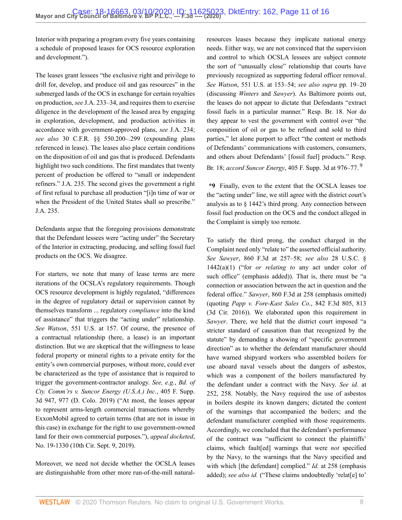Interior with preparing a program every five years containing a schedule of proposed leases for OCS resource exploration and development.").

The leases grant lessees "the exclusive right and privilege to drill for, develop, and produce oil and gas resources" in the submerged lands of the OCS in exchange for certain royalties on production, *see* J.A. 233–34, and requires them to exercise diligence in the development of the leased area by engaging in exploration, development, and production activities in accordance with government-approved plans, *see* J.A. 234; *see also* [30 C.F.R. §§ 550.200](http://www.westlaw.com/Link/Document/FullText?findType=L&pubNum=1000547&cite=30CFRS550.200&originatingDoc=I9bfa51805fc911eaa56f994ec64d0018&refType=LQ&originationContext=document&vr=3.0&rs=cblt1.0&transitionType=DocumentItem&contextData=(sc.Default))[–.299](http://www.westlaw.com/Link/Document/FullText?findType=L&pubNum=1000547&cite=30CFRS550.299&originatingDoc=I9bfa51805fc911eaa56f994ec64d0018&refType=LQ&originationContext=document&vr=3.0&rs=cblt1.0&transitionType=DocumentItem&contextData=(sc.Default)) (expounding plans referenced in lease). The leases also place certain conditions on the disposition of oil and gas that is produced. Defendants highlight two such conditions. The first mandates that twenty percent of production be offered to "small or independent refiners." J.A. 235. The second gives the government a right of first refusal to purchase all production "[i]n time of war or when the President of the United States shall so prescribe." J.A. 235.

Defendants argue that the foregoing provisions demonstrate that the Defendant lessees were "acting under" the Secretary of the Interior in extracting, producing, and selling fossil fuel products on the OCS. We disagree.

For starters, we note that many of lease terms are mere iterations of the OCSLA's regulatory requirements. Though OCS resource development is highly regulated, "differences in the degree of regulatory detail or supervision cannot by themselves transform ... regulatory *compliance* into the kind of assistance" that triggers the "acting under" relationship. *See Watson*[, 551 U.S. at 157](http://www.westlaw.com/Link/Document/FullText?findType=Y&serNum=2012447002&pubNum=0000780&originatingDoc=I9bfa51805fc911eaa56f994ec64d0018&refType=RP&fi=co_pp_sp_780_157&originationContext=document&vr=3.0&rs=cblt1.0&transitionType=DocumentItem&contextData=(sc.Default)#co_pp_sp_780_157). Of course, the presence of a contractual relationship (here, a lease) is an important distinction. But we are skeptical that the willingness to lease federal property or mineral rights to a private entity for the entity's own commercial purposes, without more, could ever be characterized as the type of assistance that is required to trigger the government-contractor analogy. *See, e.g.*, *[Bd. of](http://www.westlaw.com/Link/Document/FullText?findType=Y&serNum=2049099882&pubNum=0007903&originatingDoc=I9bfa51805fc911eaa56f994ec64d0018&refType=RP&fi=co_pp_sp_7903_977&originationContext=document&vr=3.0&rs=cblt1.0&transitionType=DocumentItem&contextData=(sc.Default)#co_pp_sp_7903_977) [Cty. Comm'rs v. Suncor Energy \(U.S.A.\) Inc.](http://www.westlaw.com/Link/Document/FullText?findType=Y&serNum=2049099882&pubNum=0007903&originatingDoc=I9bfa51805fc911eaa56f994ec64d0018&refType=RP&fi=co_pp_sp_7903_977&originationContext=document&vr=3.0&rs=cblt1.0&transitionType=DocumentItem&contextData=(sc.Default)#co_pp_sp_7903_977)*, 405 F. Supp. [3d 947, 977 \(D. Colo. 2019\)](http://www.westlaw.com/Link/Document/FullText?findType=Y&serNum=2049099882&pubNum=0007903&originatingDoc=I9bfa51805fc911eaa56f994ec64d0018&refType=RP&fi=co_pp_sp_7903_977&originationContext=document&vr=3.0&rs=cblt1.0&transitionType=DocumentItem&contextData=(sc.Default)#co_pp_sp_7903_977) ("At most, the leases appear to represent arms-length commercial transactions whereby ExxonMobil agreed to certain terms (that are not in issue in this case) in exchange for the right to use government-owned land for their own commercial purposes."), *appeal docketed*, No. 19-1330 (10th Cir. Sept. 9, 2019).

Moreover, we need not decide whether the OCSLA leases are distinguishable from other more run-of-the-mill naturalresources leases because they implicate national energy needs. Either way, we are not convinced that the supervision and control to which OCSLA lessees are subject connote the sort of "unusually close" relationship that courts have previously recognized as supporting federal officer removal. *See Watson*[, 551 U.S. at 153–54;](http://www.westlaw.com/Link/Document/FullText?findType=Y&serNum=2012447002&pubNum=0000780&originatingDoc=I9bfa51805fc911eaa56f994ec64d0018&refType=RP&fi=co_pp_sp_780_153&originationContext=document&vr=3.0&rs=cblt1.0&transitionType=DocumentItem&contextData=(sc.Default)#co_pp_sp_780_153) *see also supra* pp. 19–20 (discussing *Winters* and *Sawyer*). As Baltimore points out, the leases do not appear to dictate that Defendants "extract fossil fuels in a particular manner." Resp. Br. 18. Nor do they appear to vest the government with control over "the composition of oil or gas to be refined and sold to third parties," let alone purport to affect "the content or methods of Defendants' communications with customers, consumers, and others about Defendants' [fossil fuel] products." Resp. Br. 18; *accord Suncor Energy*[, 405 F. Supp. 3d at 976–77.](http://www.westlaw.com/Link/Document/FullText?findType=Y&serNum=2049099882&pubNum=0007903&originatingDoc=I9bfa51805fc911eaa56f994ec64d0018&refType=RP&fi=co_pp_sp_7903_976&originationContext=document&vr=3.0&rs=cblt1.0&transitionType=DocumentItem&contextData=(sc.Default)#co_pp_sp_7903_976) [9](#page-14-8)

<span id="page-10-0"></span>**\*9** Finally, even to the extent that the OCSLA leases toe the "acting under" line, we still agree with the district court's analysis as to [§ 1442'](http://www.westlaw.com/Link/Document/FullText?findType=L&pubNum=1000546&cite=28USCAS1442&originatingDoc=I9bfa51805fc911eaa56f994ec64d0018&refType=LQ&originationContext=document&vr=3.0&rs=cblt1.0&transitionType=DocumentItem&contextData=(sc.Default))s third prong. Any connection between fossil fuel production on the OCS and the conduct alleged in the Complaint is simply too remote.

To satisfy the third prong, the conduct charged in the Complaint need only "relate to" the asserted official authority. *See Sawyer*[, 860 F.3d at 257–58](http://www.westlaw.com/Link/Document/FullText?findType=Y&serNum=2041919425&pubNum=0000506&originatingDoc=I9bfa51805fc911eaa56f994ec64d0018&refType=RP&fi=co_pp_sp_506_257&originationContext=document&vr=3.0&rs=cblt1.0&transitionType=DocumentItem&contextData=(sc.Default)#co_pp_sp_506_257); *see also* [28 U.S.C. §](http://www.westlaw.com/Link/Document/FullText?findType=L&pubNum=1000546&cite=28USCAS1442&originatingDoc=I9bfa51805fc911eaa56f994ec64d0018&refType=RB&originationContext=document&vr=3.0&rs=cblt1.0&transitionType=DocumentItem&contextData=(sc.Default)#co_pp_7b9b000044381) [1442\(a\)\(1\)](http://www.westlaw.com/Link/Document/FullText?findType=L&pubNum=1000546&cite=28USCAS1442&originatingDoc=I9bfa51805fc911eaa56f994ec64d0018&refType=RB&originationContext=document&vr=3.0&rs=cblt1.0&transitionType=DocumentItem&contextData=(sc.Default)#co_pp_7b9b000044381) ("for *or relating to* any act under color of such office" (emphasis added)). That is, there must be "a connection or association between the act in question and the federal office." *Sawyer*[, 860 F.3d at 258](http://www.westlaw.com/Link/Document/FullText?findType=Y&serNum=2041919425&pubNum=0000506&originatingDoc=I9bfa51805fc911eaa56f994ec64d0018&refType=RP&fi=co_pp_sp_506_258&originationContext=document&vr=3.0&rs=cblt1.0&transitionType=DocumentItem&contextData=(sc.Default)#co_pp_sp_506_258) (emphasis omitted) (quoting *[Papp v. Fore-Kast Sales Co.](http://www.westlaw.com/Link/Document/FullText?findType=Y&serNum=2040353977&pubNum=0000506&originatingDoc=I9bfa51805fc911eaa56f994ec64d0018&refType=RP&fi=co_pp_sp_506_813&originationContext=document&vr=3.0&rs=cblt1.0&transitionType=DocumentItem&contextData=(sc.Default)#co_pp_sp_506_813)*, 842 F.3d 805, 813 [\(3d Cir. 2016\)\)](http://www.westlaw.com/Link/Document/FullText?findType=Y&serNum=2040353977&pubNum=0000506&originatingDoc=I9bfa51805fc911eaa56f994ec64d0018&refType=RP&fi=co_pp_sp_506_813&originationContext=document&vr=3.0&rs=cblt1.0&transitionType=DocumentItem&contextData=(sc.Default)#co_pp_sp_506_813). We elaborated upon this requirement in *Sawyer*. There, we held that the district court imposed "a stricter standard of causation than that recognized by the statute" by demanding a showing of "specific government direction" as to whether the defendant manufacturer should have warned shipyard workers who assembled boilers for use aboard naval vessels about the dangers of asbestos, which was a component of the boilers manufactured by the defendant under a contract with the Navy. *See id.* [at](http://www.westlaw.com/Link/Document/FullText?findType=Y&serNum=2041919425&pubNum=0000506&originatingDoc=I9bfa51805fc911eaa56f994ec64d0018&refType=RP&fi=co_pp_sp_506_252&originationContext=document&vr=3.0&rs=cblt1.0&transitionType=DocumentItem&contextData=(sc.Default)#co_pp_sp_506_252) [252, 258.](http://www.westlaw.com/Link/Document/FullText?findType=Y&serNum=2041919425&pubNum=0000506&originatingDoc=I9bfa51805fc911eaa56f994ec64d0018&refType=RP&fi=co_pp_sp_506_252&originationContext=document&vr=3.0&rs=cblt1.0&transitionType=DocumentItem&contextData=(sc.Default)#co_pp_sp_506_252) Notably, the Navy required the use of asbestos in boilers despite its known dangers; dictated the content of the warnings that accompanied the boilers; and the defendant manufacturer complied with those requirements. Accordingly, we concluded that the defendant's performance of the contract was "sufficient to connect the plaintiffs' claims, which fault[ed] warnings that were *not* specified by the Navy, to the warnings that the Navy specified and with which [the defendant] complied." *Id.* [at 258](http://www.westlaw.com/Link/Document/FullText?findType=Y&serNum=2041919425&pubNum=0000506&originatingDoc=I9bfa51805fc911eaa56f994ec64d0018&refType=RP&fi=co_pp_sp_506_258&originationContext=document&vr=3.0&rs=cblt1.0&transitionType=DocumentItem&contextData=(sc.Default)#co_pp_sp_506_258) (emphasis added); *see also id.* ("These claims undoubtedly 'relat[e] to'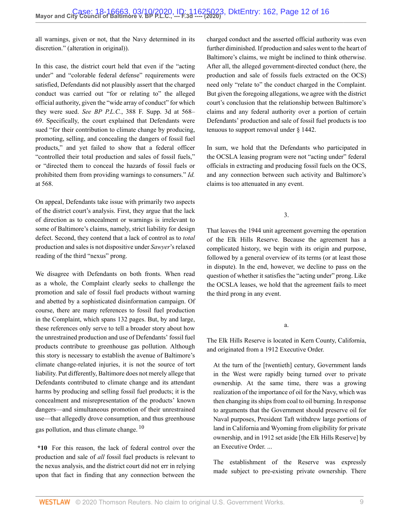all warnings, given or not, that the Navy determined in its discretion." (alteration in original)).

In this case, the district court held that even if the "acting under" and "colorable federal defense" requirements were satisfied, Defendants did not plausibly assert that the charged conduct was carried out "for or relating to" the alleged official authority, given the "wide array of conduct" for which they were sued. *See BP P.L.C.*[, 388 F. Supp. 3d at 568–](http://www.westlaw.com/Link/Document/FullText?findType=Y&serNum=2048466347&pubNum=0007903&originatingDoc=I9bfa51805fc911eaa56f994ec64d0018&refType=RP&fi=co_pp_sp_7903_568&originationContext=document&vr=3.0&rs=cblt1.0&transitionType=DocumentItem&contextData=(sc.Default)#co_pp_sp_7903_568) [69](http://www.westlaw.com/Link/Document/FullText?findType=Y&serNum=2048466347&pubNum=0007903&originatingDoc=I9bfa51805fc911eaa56f994ec64d0018&refType=RP&fi=co_pp_sp_7903_568&originationContext=document&vr=3.0&rs=cblt1.0&transitionType=DocumentItem&contextData=(sc.Default)#co_pp_sp_7903_568). Specifically, the court explained that Defendants were sued "for their contribution to climate change by producing, promoting, selling, and concealing the dangers of fossil fuel products," and yet failed to show that a federal officer "controlled their total production and sales of fossil fuels," or "directed them to conceal the hazards of fossil fuels or prohibited them from providing warnings to consumers." *[Id.](http://www.westlaw.com/Link/Document/FullText?findType=Y&serNum=2048466347&pubNum=0007903&originatingDoc=I9bfa51805fc911eaa56f994ec64d0018&refType=RP&fi=co_pp_sp_7903_568&originationContext=document&vr=3.0&rs=cblt1.0&transitionType=DocumentItem&contextData=(sc.Default)#co_pp_sp_7903_568)* [at 568.](http://www.westlaw.com/Link/Document/FullText?findType=Y&serNum=2048466347&pubNum=0007903&originatingDoc=I9bfa51805fc911eaa56f994ec64d0018&refType=RP&fi=co_pp_sp_7903_568&originationContext=document&vr=3.0&rs=cblt1.0&transitionType=DocumentItem&contextData=(sc.Default)#co_pp_sp_7903_568)

On appeal, Defendants take issue with primarily two aspects of the district court's analysis. First, they argue that the lack of direction as to concealment or warnings is irrelevant to some of Baltimore's claims, namely, strict liability for design defect. Second, they contend that a lack of control as to *total* production and sales is not dispositive under *Sawyer*'s relaxed reading of the third "nexus" prong.

We disagree with Defendants on both fronts. When read as a whole, the Complaint clearly seeks to challenge the promotion and sale of fossil fuel products without warning and abetted by a sophisticated disinformation campaign. Of course, there are many references to fossil fuel production in the Complaint, which spans 132 pages. But, by and large, these references only serve to tell a broader story about how the unrestrained production and use of Defendants' fossil fuel products contribute to greenhouse gas pollution. Although this story is necessary to establish the avenue of Baltimore's climate change-related injuries, it is not the source of tort liability. Put differently, Baltimore does not merely allege that Defendants contributed to climate change and its attendant harms by producing and selling fossil fuel products; it is the concealment and misrepresentation of the products' known dangers—and simultaneous promotion of their unrestrained use—that allegedly drove consumption, and thus greenhouse gas pollution, and thus climate change. [10](#page-14-9)

**\*10** For this reason, the lack of federal control over the production and sale of *all* fossil fuel products is relevant to the nexus analysis, and the district court did not err in relying upon that fact in finding that any connection between the charged conduct and the asserted official authority was even further diminished. If production and sales went to the heart of Baltimore's claims, we might be inclined to think otherwise. After all, the alleged government-directed conduct (here, the production and sale of fossils fuels extracted on the OCS) need only "relate to" the conduct charged in the Complaint. But given the foregoing allegations, we agree with the district court's conclusion that the relationship between Baltimore's claims and any federal authority over a portion of certain Defendants' production and sale of fossil fuel products is too tenuous to support removal under [§ 1442](http://www.westlaw.com/Link/Document/FullText?findType=L&pubNum=1000546&cite=28USCAS1442&originatingDoc=I9bfa51805fc911eaa56f994ec64d0018&refType=LQ&originationContext=document&vr=3.0&rs=cblt1.0&transitionType=DocumentItem&contextData=(sc.Default)).

In sum, we hold that the Defendants who participated in the OCSLA leasing program were not "acting under" federal officials in extracting and producing fossil fuels on the OCS, and any connection between such activity and Baltimore's claims is too attenuated in any event.

3.

That leaves the 1944 unit agreement governing the operation of the Elk Hills Reserve. Because the agreement has a complicated history, we begin with its origin and purpose, followed by a general overview of its terms (or at least those in dispute). In the end, however, we decline to pass on the question of whether it satisfies the "acting under" prong. Like the OCSLA leases, we hold that the agreement fails to meet the third prong in any event.

a.

The Elk Hills Reserve is located in Kern County, California, and originated from a 1912 Executive Order.

At the turn of the [twentieth] century, Government lands in the West were rapidly being turned over to private ownership. At the same time, there was a growing realization of the importance of oil for the Navy, which was then changing its ships from coal to oil burning. In response to arguments that the Government should preserve oil for Naval purposes, President Taft withdrew large portions of land in California and Wyoming from eligibility for private ownership, and in 1912 set aside [the Elk Hills Reserve] by an Executive Order. ...

<span id="page-11-0"></span>The establishment of the Reserve was expressly made subject to pre-existing private ownership. There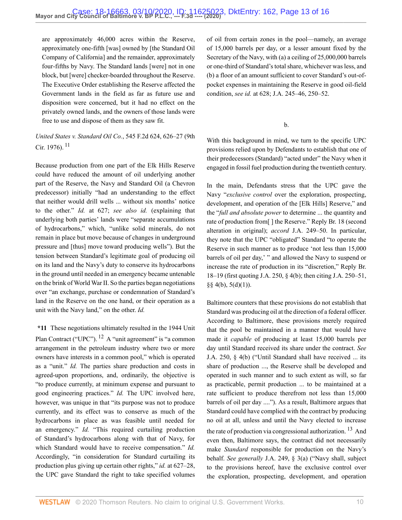are approximately 46,000 acres within the Reserve, approximately one-fifth [was] owned by [the Standard Oil Company of California] and the remainder, approximately four-fifths by Navy. The Standard lands [were] not in one block, but [were] checker-boarded throughout the Reserve. The Executive Order establishing the Reserve affected the Government lands in the field as far as future use and disposition were concerned, but it had no effect on the privately owned lands, and the owners of those lands were free to use and dispose of them as they saw fit.

<span id="page-12-0"></span>*[United States v. Standard Oil Co.](http://www.westlaw.com/Link/Document/FullText?findType=Y&serNum=1976125479&pubNum=0000350&originatingDoc=I9bfa51805fc911eaa56f994ec64d0018&refType=RP&fi=co_pp_sp_350_626&originationContext=document&vr=3.0&rs=cblt1.0&transitionType=DocumentItem&contextData=(sc.Default)#co_pp_sp_350_626)*, 545 F.2d 624, 626–27 (9th [Cir. 1976\).](http://www.westlaw.com/Link/Document/FullText?findType=Y&serNum=1976125479&pubNum=0000350&originatingDoc=I9bfa51805fc911eaa56f994ec64d0018&refType=RP&fi=co_pp_sp_350_626&originationContext=document&vr=3.0&rs=cblt1.0&transitionType=DocumentItem&contextData=(sc.Default)#co_pp_sp_350_626)<sup>[11](#page-15-0)</sup>

Because production from one part of the Elk Hills Reserve could have reduced the amount of oil underlying another part of the Reserve, the Navy and Standard Oil (a Chevron predecessor) initially "had an understanding to the effect that neither would drill wells ... without six months' notice to the other." *Id.* at 627; *see also id.* (explaining that underlying both parties' lands were "separate accumulations of hydrocarbons," which, "unlike solid minerals, do not remain in place but move because of changes in underground pressure and [thus] move toward producing wells"). But the tension between Standard's legitimate goal of producing oil on its land and the Navy's duty to conserve its hydrocarbons in the ground until needed in an emergency became untenable on the brink of World War II. So the parties began negotiations over "an exchange, purchase or condemnation of Standard's land in the Reserve on the one hand, or their operation as a unit with the Navy land," on the other. *Id.*

<span id="page-12-1"></span>**\*11** These negotiations ultimately resulted in the 1944 Unit Plan Contract ("UPC"). [12](#page-15-1) A "unit agreement" is "a common arrangement in the petroleum industry where two or more owners have interests in a common pool," which is operated as a "unit." *Id.* The parties share production and costs in agreed-upon proportions, and, ordinarily, the objective is "to produce currently, at minimum expense and pursuant to good engineering practices." *Id.* The UPC involved here, however, was unique in that "its purpose was not to produce" currently, and its effect was to conserve as much of the hydrocarbons in place as was feasible until needed for an emergency." *Id.* "This required curtailing production of Standard's hydrocarbons along with that of Navy, for which Standard would have to receive compensation." *Id.* Accordingly, "in consideration for Standard curtailing its production plus giving up certain other rights," *id.* at 627–28, the UPC gave Standard the right to take specified volumes

of oil from certain zones in the pool—namely, an average of 15,000 barrels per day, or a lesser amount fixed by the Secretary of the Navy, with (a) a ceiling of 25,000,000 barrels or one-third of Standard's total share, whichever was less, and (b) a floor of an amount sufficient to cover Standard's out-ofpocket expenses in maintaining the Reserve in good oil-field condition, *see id.* at 628; J.A. 245–46, 250–52.

b.

With this background in mind, we turn to the specific UPC provisions relied upon by Defendants to establish that one of their predecessors (Standard) "acted under" the Navy when it engaged in fossil fuel production during the twentieth century.

In the main, Defendants stress that the UPC gave the Navy "*exclusive control* over the exploration, prospecting, development, and operation of the [Elk Hills] Reserve," and the "*full and absolute power* to determine ... the quantity and rate of production from[ ] the Reserve." Reply Br. 18 (second alteration in original); *accord* J.A. 249–50. In particular, they note that the UPC "obligated" Standard "to operate the Reserve in such manner as to produce 'not less than 15,000 barrels of oil per day,' " and allowed the Navy to suspend or increase the rate of production in its "discretion," Reply Br. 18–19 (first quoting J.A. 250, § 4(b); then citing J.A. 250–51,  $§$ § 4(b), 5(d)(1)).

<span id="page-12-2"></span>Baltimore counters that these provisions do not establish that Standard was producing oil at the direction of a federal officer. According to Baltimore, these provisions merely required that the pool be maintained in a manner that would have made it *capable* of producing at least 15,000 barrels per day until Standard received its share under the contract. *See* J.A. 250, § 4(b) ("Until Standard shall have received ... its share of production ..., the Reserve shall be developed and operated in such manner and to such extent as will, so far as practicable, permit production ... to be maintained at a rate sufficient to produce therefrom not less than 15,000 barrels of oil per day ...."). As a result, Baltimore argues that Standard could have complied with the contract by producing no oil at all, unless and until the Navy elected to increase the rate of production via congressional authorization.  $^{13}$  $^{13}$  $^{13}$  And even then, Baltimore says, the contract did not necessarily make *Standard* responsible for production on the Navy's behalf. *See generally* J.A. 249, § 3(a) ("Navy shall, subject to the provisions hereof, have the exclusive control over the exploration, prospecting, development, and operation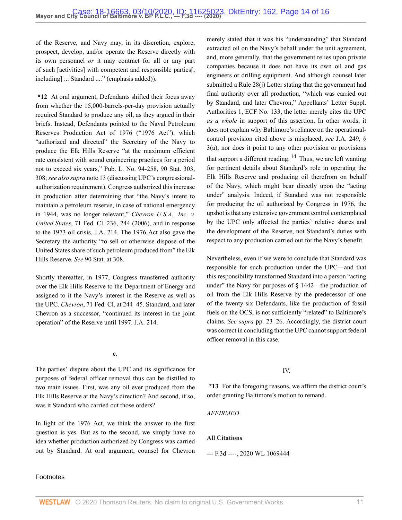of the Reserve, and Navy may, in its discretion, explore, prospect, develop, and/or operate the Reserve directly with its own personnel *or* it may contract for all or any part of such [activities] with competent and responsible parties[, including] ... Standard ...." (emphasis added)).

**\*12** At oral argument, Defendants shifted their focus away from whether the 15,000-barrels-per-day provision actually required Standard to produce any oil, as they argued in their briefs. Instead, Defendants pointed to the Naval Petroleum Reserves Production Act of 1976 ("1976 Act"), which "authorized and directed" the Secretary of the Navy to produce the Elk Hills Reserve "at the maximum efficient rate consistent with sound engineering practices for a period not to exceed six years," [Pub. L. No. 94-258, 90 Stat. 303,](http://www.westlaw.com/Link/Document/FullText?findType=l&pubNum=1077005&cite=UUID(I35A6E8EF93-3D49A0803AC-51664C87F34)&originatingDoc=I9bfa51805fc911eaa56f994ec64d0018&refType=SL&originationContext=document&vr=3.0&rs=cblt1.0&transitionType=DocumentItem&contextData=(sc.Default)) 308; *see also supra* note 13 (discussing UPC's congressionalauthorization requirement). Congress authorized this increase in production after determining that "the Navy's intent to maintain a petroleum reserve, in case of national emergency in 1944, was no longer relevant," *[Chevron U.S.A., Inc. v.](http://www.westlaw.com/Link/Document/FullText?findType=Y&serNum=2009276573&pubNum=0000613&originatingDoc=I9bfa51805fc911eaa56f994ec64d0018&refType=RP&fi=co_pp_sp_613_244&originationContext=document&vr=3.0&rs=cblt1.0&transitionType=DocumentItem&contextData=(sc.Default)#co_pp_sp_613_244) United States*[, 71 Fed. Cl. 236, 244 \(2006\),](http://www.westlaw.com/Link/Document/FullText?findType=Y&serNum=2009276573&pubNum=0000613&originatingDoc=I9bfa51805fc911eaa56f994ec64d0018&refType=RP&fi=co_pp_sp_613_244&originationContext=document&vr=3.0&rs=cblt1.0&transitionType=DocumentItem&contextData=(sc.Default)#co_pp_sp_613_244) and in response to the 1973 oil crisis, J.A. 214. The 1976 Act also gave the Secretary the authority "to sell or otherwise dispose of the United States share of such petroleum produced from" the Elk Hills Reserve. *See* 90 Stat. at 308.

Shortly thereafter, in 1977, Congress transferred authority over the Elk Hills Reserve to the Department of Energy and assigned to it the Navy's interest in the Reserve as well as the UPC. *Chevron*[, 71 Fed. Cl. at 244–45](http://www.westlaw.com/Link/Document/FullText?findType=Y&serNum=2009276573&pubNum=0000613&originatingDoc=I9bfa51805fc911eaa56f994ec64d0018&refType=RP&fi=co_pp_sp_613_244&originationContext=document&vr=3.0&rs=cblt1.0&transitionType=DocumentItem&contextData=(sc.Default)#co_pp_sp_613_244). Standard, and later Chevron as a successor, "continued its interest in the joint operation" of the Reserve until 1997. J.A. 214.

c.

The parties' dispute about the UPC and its significance for purposes of federal officer removal thus can be distilled to two main issues. First, was any oil ever produced from the Elk Hills Reserve at the Navy's direction? And second, if so, was it Standard who carried out those orders?

In light of the 1976 Act, we think the answer to the first question is yes. But as to the second, we simply have no idea whether production authorized by Congress was carried out by Standard. At oral argument, counsel for Chevron merely stated that it was his "understanding" that Standard extracted oil on the Navy's behalf under the unit agreement, and, more generally, that the government relies upon private companies because it does not have its own oil and gas engineers or drilling equipment. And although counsel later submitted a Rule 28(j) Letter stating that the government had final authority over all production, "which was carried out by Standard, and later Chevron," Appellants' Letter Suppl. Authorities 1, ECF No. 133, the letter merely cites the UPC *as a whole* in support of this assertion. In other words, it does not explain why Baltimore's reliance on the operationalcontrol provision cited above is misplaced, *see* J.A. 249, § 3(a), nor does it point to any other provision or provisions that support a different reading.  $14$  Thus, we are left wanting for pertinent details about Standard's role in operating the Elk Hills Reserve and producing oil therefrom on behalf of the Navy, which might bear directly upon the "acting under" analysis. Indeed, if Standard was not responsible for producing the oil authorized by Congress in 1976, the upshot is that any extensive government control contemplated by the UPC only affected the parties' relative shares and the development of the Reserve, not Standard's duties with respect to any production carried out for the Navy's benefit.

<span id="page-13-0"></span>Nevertheless, even if we were to conclude that Standard was responsible for such production under the UPC—and that this responsibility transformed Standard into a person "acting under" the Navy for purposes of § 1442—the production of oil from the Elk Hills Reserve by the predecessor of one of the twenty-six Defendants, like the production of fossil fuels on the OCS, is not sufficiently "related" to Baltimore's claims. *See supra* pp. 23–26. Accordingly, the district court was correct in concluding that the UPC cannot support federal officer removal in this case.

#### IV.

**\*13** For the foregoing reasons, we affirm the district court's order granting Baltimore's motion to remand.

#### *AFFIRMED*

#### **All Citations**

--- F.3d ----, 2020 WL 1069444

### Footnotes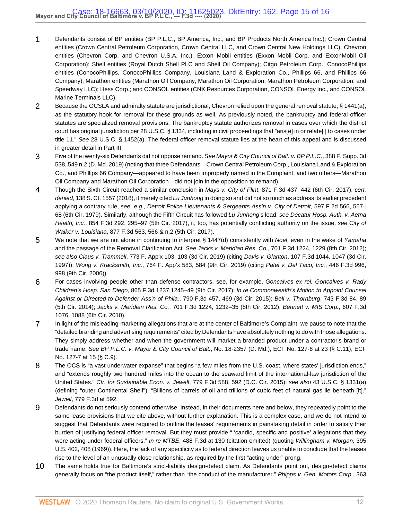- <span id="page-14-0"></span>[1](#page-5-0) Defendants consist of BP entities (BP P.L.C., BP America, Inc., and BP Products North America Inc.); Crown Central entities (Crown Central Petroleum Corporation, Crown Central LLC, and Crown Central New Holdings LLC); Chevron entities (Chevron Corp. and Chevron U.S.A. Inc.); Exxon Mobil entities (Exxon Mobil Corp. and ExxonMobil Oil Corporation); Shell entities (Royal Dutch Shell PLC and Shell Oil Company); Citgo Petroleum Corp.; ConocoPhillips entities (ConocoPhillips, ConocoPhillips Company, Louisiana Land & Exploration Co., Phillips 66, and Phillips 66 Company); Marathon entities (Marathon Oil Company, Marathon Oil Corporation, Marathon Petroleum Corporation, and Speedway LLC); Hess Corp.; and CONSOL entities (CNX Resources Corporation, CONSOL Energy Inc., and CONSOL Marine Terminals LLC).
- <span id="page-14-1"></span>[2](#page-5-1) Because the OCSLA and admiralty statute are jurisdictional, Chevron relied upon the general removal statute, [§ 1441\(a\)](http://www.westlaw.com/Link/Document/FullText?findType=L&pubNum=1000546&cite=28USCAS1441&originatingDoc=I9bfa51805fc911eaa56f994ec64d0018&refType=RB&originationContext=document&vr=3.0&rs=cblt1.0&transitionType=DocumentItem&contextData=(sc.Default)#co_pp_8b3b0000958a4), as the statutory hook for removal for these grounds as well. As previously noted, the bankruptcy and federal officer statutes are specialized removal provisions. The bankruptcy statute authorizes removal in cases over which the district court has original jurisdiction per [28 U.S.C. § 1334,](http://www.westlaw.com/Link/Document/FullText?findType=L&pubNum=1000546&cite=28USCAS1334&originatingDoc=I9bfa51805fc911eaa56f994ec64d0018&refType=LQ&originationContext=document&vr=3.0&rs=cblt1.0&transitionType=DocumentItem&contextData=(sc.Default)) including in civil proceedings that "aris[e] in or relate[ ] to cases under title 11." See [28 U.S.C. § 1452\(a\).](http://www.westlaw.com/Link/Document/FullText?findType=L&pubNum=1000546&cite=28USCAS1452&originatingDoc=I9bfa51805fc911eaa56f994ec64d0018&refType=RB&originationContext=document&vr=3.0&rs=cblt1.0&transitionType=DocumentItem&contextData=(sc.Default)#co_pp_8b3b0000958a4) The federal officer removal statute lies at the heart of this appeal and is discussed in greater detail in Part III.
- <span id="page-14-2"></span>[3](#page-5-2) Five of the twenty-six Defendants did not oppose remand. See [Mayor & City Council of Balt. v. BP P.L.C.](http://www.westlaw.com/Link/Document/FullText?findType=Y&serNum=2048466347&pubNum=0007903&originatingDoc=I9bfa51805fc911eaa56f994ec64d0018&refType=RP&fi=co_pp_sp_7903_549&originationContext=document&vr=3.0&rs=cblt1.0&transitionType=DocumentItem&contextData=(sc.Default)#co_pp_sp_7903_549), 388 F. Supp. 3d [538, 549 n.2 \(D. Md. 2019\)](http://www.westlaw.com/Link/Document/FullText?findType=Y&serNum=2048466347&pubNum=0007903&originatingDoc=I9bfa51805fc911eaa56f994ec64d0018&refType=RP&fi=co_pp_sp_7903_549&originationContext=document&vr=3.0&rs=cblt1.0&transitionType=DocumentItem&contextData=(sc.Default)#co_pp_sp_7903_549) (noting that three Defendants—Crown Central Petroleum Corp., Louisiana Land & Exploration Co., and Phillips 66 Company—appeared to have been improperly named in the Complaint, and two others—Marathon Oil Company and Marathon Oil Corporation—did not join in the opposition to remand).
- <span id="page-14-3"></span>[4](#page-6-0) Though the Sixth Circuit reached a similar conclusion in Mays v. City of Flint[, 871 F.3d 437, 442 \(6th Cir. 2017\),](http://www.westlaw.com/Link/Document/FullText?findType=Y&serNum=2042574146&pubNum=0000506&originatingDoc=I9bfa51805fc911eaa56f994ec64d0018&refType=RP&fi=co_pp_sp_506_442&originationContext=document&vr=3.0&rs=cblt1.0&transitionType=DocumentItem&contextData=(sc.Default)#co_pp_sp_506_442) cert. denied, [138 S. Ct. 1557 \(2018\)](http://www.westlaw.com/Link/Document/FullText?findType=Y&serNum=2043846542&pubNum=0000708&originatingDoc=I9bfa51805fc911eaa56f994ec64d0018&refType=RP&originationContext=document&vr=3.0&rs=cblt1.0&transitionType=DocumentItem&contextData=(sc.Default)), it merely cited Lu Junhong in doing so and did not so much as address its earlier precedent applying a contrary rule, see, e.g., [Detroit Police Lieutenants & Sergeants Ass'n v. City of Detroit](http://www.westlaw.com/Link/Document/FullText?findType=Y&serNum=1979112760&pubNum=0000350&originatingDoc=I9bfa51805fc911eaa56f994ec64d0018&refType=RP&fi=co_pp_sp_350_567&originationContext=document&vr=3.0&rs=cblt1.0&transitionType=DocumentItem&contextData=(sc.Default)#co_pp_sp_350_567), 597 F.2d 566, 567– [68 \(6th Cir. 1979\)](http://www.westlaw.com/Link/Document/FullText?findType=Y&serNum=1979112760&pubNum=0000350&originatingDoc=I9bfa51805fc911eaa56f994ec64d0018&refType=RP&fi=co_pp_sp_350_567&originationContext=document&vr=3.0&rs=cblt1.0&transitionType=DocumentItem&contextData=(sc.Default)#co_pp_sp_350_567). Similarly, although the Fifth Circuit has followed Lu Junhong's lead, see [Decatur Hosp. Auth. v. Aetna](http://www.westlaw.com/Link/Document/FullText?findType=Y&serNum=2041464168&pubNum=0000506&originatingDoc=I9bfa51805fc911eaa56f994ec64d0018&refType=RP&fi=co_pp_sp_506_295&originationContext=document&vr=3.0&rs=cblt1.0&transitionType=DocumentItem&contextData=(sc.Default)#co_pp_sp_506_295) Health, Inc.[, 854 F.3d 292, 295–97 \(5th Cir. 2017\),](http://www.westlaw.com/Link/Document/FullText?findType=Y&serNum=2041464168&pubNum=0000506&originatingDoc=I9bfa51805fc911eaa56f994ec64d0018&refType=RP&fi=co_pp_sp_506_295&originationContext=document&vr=3.0&rs=cblt1.0&transitionType=DocumentItem&contextData=(sc.Default)#co_pp_sp_506_295) it, too, has potentially conflicting authority on the issue, see [City of](http://www.westlaw.com/Link/Document/FullText?findType=Y&serNum=2043298725&pubNum=0000506&originatingDoc=I9bfa51805fc911eaa56f994ec64d0018&refType=RP&fi=co_pp_sp_506_566&originationContext=document&vr=3.0&rs=cblt1.0&transitionType=DocumentItem&contextData=(sc.Default)#co_pp_sp_506_566) Walker v. Louisiana[, 877 F.3d 563, 566 & n.2 \(5th Cir. 2017\)](http://www.westlaw.com/Link/Document/FullText?findType=Y&serNum=2043298725&pubNum=0000506&originatingDoc=I9bfa51805fc911eaa56f994ec64d0018&refType=RP&fi=co_pp_sp_506_566&originationContext=document&vr=3.0&rs=cblt1.0&transitionType=DocumentItem&contextData=(sc.Default)#co_pp_sp_506_566).
- <span id="page-14-4"></span>[5](#page-7-0) We note that we are not alone in continuing to interpret [§ 1447\(d\)](http://www.westlaw.com/Link/Document/FullText?findType=L&pubNum=1000546&cite=28USCAS1447&originatingDoc=I9bfa51805fc911eaa56f994ec64d0018&refType=RB&originationContext=document&vr=3.0&rs=cblt1.0&transitionType=DocumentItem&contextData=(sc.Default)#co_pp_5ba1000067d06) consistently with Noel, even in the wake of Yamaha and the passage of the Removal Clarification Act. See Jacks v. Meridian Res. Co.[, 701 F.3d 1224, 1229 \(8th Cir. 2012\);](http://www.westlaw.com/Link/Document/FullText?findType=Y&serNum=2029450525&pubNum=0000506&originatingDoc=I9bfa51805fc911eaa56f994ec64d0018&refType=RP&fi=co_pp_sp_506_1229&originationContext=document&vr=3.0&rs=cblt1.0&transitionType=DocumentItem&contextData=(sc.Default)#co_pp_sp_506_1229) see also Claus v. Trammell[, 773 F. App'x 103, 103 \(3d Cir. 2019\)](http://www.westlaw.com/Link/Document/FullText?findType=Y&serNum=2048694713&pubNum=0006538&originatingDoc=I9bfa51805fc911eaa56f994ec64d0018&refType=RP&originationContext=document&vr=3.0&rs=cblt1.0&transitionType=DocumentItem&contextData=(sc.Default)) (citing Davis v. Glanton[, 107 F.3d 1044, 1047 \(3d Cir.](http://www.westlaw.com/Link/Document/FullText?findType=Y&serNum=1997061471&pubNum=0000506&originatingDoc=I9bfa51805fc911eaa56f994ec64d0018&refType=RP&fi=co_pp_sp_506_1047&originationContext=document&vr=3.0&rs=cblt1.0&transitionType=DocumentItem&contextData=(sc.Default)#co_pp_sp_506_1047) [1997\)](http://www.westlaw.com/Link/Document/FullText?findType=Y&serNum=1997061471&pubNum=0000506&originatingDoc=I9bfa51805fc911eaa56f994ec64d0018&refType=RP&fi=co_pp_sp_506_1047&originationContext=document&vr=3.0&rs=cblt1.0&transitionType=DocumentItem&contextData=(sc.Default)#co_pp_sp_506_1047)); Wong v. Kracksmith, Inc.[, 764 F. App'x 583, 584 \(9th Cir. 2019\)](http://www.westlaw.com/Link/Document/FullText?findType=Y&serNum=2047858696&pubNum=0006538&originatingDoc=I9bfa51805fc911eaa56f994ec64d0018&refType=RP&fi=co_pp_sp_6538_584&originationContext=document&vr=3.0&rs=cblt1.0&transitionType=DocumentItem&contextData=(sc.Default)#co_pp_sp_6538_584) (citing [Patel v. Del Taco, Inc.](http://www.westlaw.com/Link/Document/FullText?findType=Y&serNum=2009070653&pubNum=0000506&originatingDoc=I9bfa51805fc911eaa56f994ec64d0018&refType=RP&fi=co_pp_sp_506_998&originationContext=document&vr=3.0&rs=cblt1.0&transitionType=DocumentItem&contextData=(sc.Default)#co_pp_sp_506_998), 446 F.3d 996, [998 \(9th Cir. 2006\)](http://www.westlaw.com/Link/Document/FullText?findType=Y&serNum=2009070653&pubNum=0000506&originatingDoc=I9bfa51805fc911eaa56f994ec64d0018&refType=RP&fi=co_pp_sp_506_998&originationContext=document&vr=3.0&rs=cblt1.0&transitionType=DocumentItem&contextData=(sc.Default)#co_pp_sp_506_998)).
- <span id="page-14-5"></span>[6](#page-9-0) For cases involving people other than defense contractors, see, for example, [Goncalves ex rel. Goncalves v. Rady](http://www.westlaw.com/Link/Document/FullText?findType=Y&serNum=2042293461&pubNum=0000506&originatingDoc=I9bfa51805fc911eaa56f994ec64d0018&refType=RP&fi=co_pp_sp_506_1245&originationContext=document&vr=3.0&rs=cblt1.0&transitionType=DocumentItem&contextData=(sc.Default)#co_pp_sp_506_1245) Children's Hosp. San Diego[, 865 F.3d 1237,1245–49 \(9th Cir. 2017\)](http://www.westlaw.com/Link/Document/FullText?findType=Y&serNum=2042293461&pubNum=0000506&originatingDoc=I9bfa51805fc911eaa56f994ec64d0018&refType=RP&fi=co_pp_sp_506_1245&originationContext=document&vr=3.0&rs=cblt1.0&transitionType=DocumentItem&contextData=(sc.Default)#co_pp_sp_506_1245); [In re Commonwealth's Motion to Appoint Counsel](http://www.westlaw.com/Link/Document/FullText?findType=Y&serNum=2036438499&pubNum=0000506&originatingDoc=I9bfa51805fc911eaa56f994ec64d0018&refType=RP&fi=co_pp_sp_506_469&originationContext=document&vr=3.0&rs=cblt1.0&transitionType=DocumentItem&contextData=(sc.Default)#co_pp_sp_506_469) [Against or Directed to Defender Ass'n of Phila.](http://www.westlaw.com/Link/Document/FullText?findType=Y&serNum=2036438499&pubNum=0000506&originatingDoc=I9bfa51805fc911eaa56f994ec64d0018&refType=RP&fi=co_pp_sp_506_469&originationContext=document&vr=3.0&rs=cblt1.0&transitionType=DocumentItem&contextData=(sc.Default)#co_pp_sp_506_469), 790 F.3d 457, 469 (3d Cir. 2015); Bell v. Thornburg[, 743 F.3d 84, 89](http://www.westlaw.com/Link/Document/FullText?findType=Y&serNum=2032627892&pubNum=0000506&originatingDoc=I9bfa51805fc911eaa56f994ec64d0018&refType=RP&fi=co_pp_sp_506_89&originationContext=document&vr=3.0&rs=cblt1.0&transitionType=DocumentItem&contextData=(sc.Default)#co_pp_sp_506_89) [\(5th Cir. 2014\);](http://www.westlaw.com/Link/Document/FullText?findType=Y&serNum=2032627892&pubNum=0000506&originatingDoc=I9bfa51805fc911eaa56f994ec64d0018&refType=RP&fi=co_pp_sp_506_89&originationContext=document&vr=3.0&rs=cblt1.0&transitionType=DocumentItem&contextData=(sc.Default)#co_pp_sp_506_89) Jacks v. Meridian Res. Co.[, 701 F.3d 1224, 1232–35 \(8th Cir. 2012\)](http://www.westlaw.com/Link/Document/FullText?findType=Y&serNum=2029450525&pubNum=0000506&originatingDoc=I9bfa51805fc911eaa56f994ec64d0018&refType=RP&fi=co_pp_sp_506_1232&originationContext=document&vr=3.0&rs=cblt1.0&transitionType=DocumentItem&contextData=(sc.Default)#co_pp_sp_506_1232); [Bennett v. MIS Corp.](http://www.westlaw.com/Link/Document/FullText?findType=Y&serNum=2022236390&pubNum=0000506&originatingDoc=I9bfa51805fc911eaa56f994ec64d0018&refType=RP&fi=co_pp_sp_506_1088&originationContext=document&vr=3.0&rs=cblt1.0&transitionType=DocumentItem&contextData=(sc.Default)#co_pp_sp_506_1088), 607 F.3d [1076, 1088 \(6th Cir. 2010\)](http://www.westlaw.com/Link/Document/FullText?findType=Y&serNum=2022236390&pubNum=0000506&originatingDoc=I9bfa51805fc911eaa56f994ec64d0018&refType=RP&fi=co_pp_sp_506_1088&originationContext=document&vr=3.0&rs=cblt1.0&transitionType=DocumentItem&contextData=(sc.Default)#co_pp_sp_506_1088).
- <span id="page-14-6"></span>[7](#page-9-1) In light of the misleading-marketing allegations that are at the center of Baltimore's Complaint, we pause to note that the "detailed branding and advertising requirements" cited by Defendants have absolutely nothing to do with those allegations. They simply address whether and when the government will market a branded product under a contractor's brand or trade name. See BP P.L.C. v. Mayor & City Council of Balt., No. 18-2357 (D. Md.), ECF No. 127-6 at 23 (§ C.11), ECF No. 127-7 at 15 (§ C.9).
- <span id="page-14-7"></span>[8](#page-9-2) The OCS is "a vast underwater expanse" that begins "a few miles from the U.S. coast, where states' jurisdiction ends," and "extends roughly two hundred miles into the ocean to the seaward limit of the international-law jurisdiction of the United States." Ctr. for Sustainable Econ. v. Jewell[, 779 F.3d 588, 592 \(D.C. Cir. 2015\);](http://www.westlaw.com/Link/Document/FullText?findType=Y&serNum=2035558787&pubNum=0000506&originatingDoc=I9bfa51805fc911eaa56f994ec64d0018&refType=RP&fi=co_pp_sp_506_592&originationContext=document&vr=3.0&rs=cblt1.0&transitionType=DocumentItem&contextData=(sc.Default)#co_pp_sp_506_592) see also [43 U.S.C. § 1331\(a\)](http://www.westlaw.com/Link/Document/FullText?findType=L&pubNum=1000546&cite=43USCAS1331&originatingDoc=I9bfa51805fc911eaa56f994ec64d0018&refType=RB&originationContext=document&vr=3.0&rs=cblt1.0&transitionType=DocumentItem&contextData=(sc.Default)#co_pp_8b3b0000958a4) (defining "outer Continental Shelf"). "Billions of barrels of oil and trillions of cubic feet of natural gas lie beneath [it]." Jewell[, 779 F.3d at 592](http://www.westlaw.com/Link/Document/FullText?findType=Y&serNum=2035558787&pubNum=0000506&originatingDoc=I9bfa51805fc911eaa56f994ec64d0018&refType=RP&fi=co_pp_sp_506_592&originationContext=document&vr=3.0&rs=cblt1.0&transitionType=DocumentItem&contextData=(sc.Default)#co_pp_sp_506_592).
- <span id="page-14-8"></span>[9](#page-10-0) Defendants do not seriously contend otherwise. Instead, in their documents here and below, they repeatedly point to the same lease provisions that we cite above, without further explanation. This is a complex case, and we do not intend to suggest that Defendants were required to outline the leases' requirements in painstaking detail in order to satisfy their burden of justifying federal officer removal. But they must provide " 'candid, specific and positive' allegations that they were acting under federal officers." In re MTBE[, 488 F.3d at 130](http://www.westlaw.com/Link/Document/FullText?findType=Y&serNum=2012322768&pubNum=0000506&originatingDoc=I9bfa51805fc911eaa56f994ec64d0018&refType=RP&fi=co_pp_sp_506_130&originationContext=document&vr=3.0&rs=cblt1.0&transitionType=DocumentItem&contextData=(sc.Default)#co_pp_sp_506_130) (citation omitted) (quoting [Willingham v. Morgan](http://www.westlaw.com/Link/Document/FullText?findType=Y&serNum=1969133004&pubNum=0000780&originatingDoc=I9bfa51805fc911eaa56f994ec64d0018&refType=RP&fi=co_pp_sp_780_408&originationContext=document&vr=3.0&rs=cblt1.0&transitionType=DocumentItem&contextData=(sc.Default)#co_pp_sp_780_408), 395 [U.S. 402, 408 \(1969\)](http://www.westlaw.com/Link/Document/FullText?findType=Y&serNum=1969133004&pubNum=0000780&originatingDoc=I9bfa51805fc911eaa56f994ec64d0018&refType=RP&fi=co_pp_sp_780_408&originationContext=document&vr=3.0&rs=cblt1.0&transitionType=DocumentItem&contextData=(sc.Default)#co_pp_sp_780_408)). Here, the lack of any specificity as to federal direction leaves us unable to conclude that the leases rise to the level of an unusually close relationship, as required by the first "acting under" prong.
- <span id="page-14-9"></span>[10](#page-11-0) The same holds true for Baltimore's strict-liability design-defect claim. As Defendants point out, design-defect claims generally focus on "the product itself," rather than "the conduct of the manufacturer." [Phipps v. Gen. Motors Corp.](http://www.westlaw.com/Link/Document/FullText?findType=Y&serNum=1976121547&pubNum=0000162&originatingDoc=I9bfa51805fc911eaa56f994ec64d0018&refType=RP&fi=co_pp_sp_162_958&originationContext=document&vr=3.0&rs=cblt1.0&transitionType=DocumentItem&contextData=(sc.Default)#co_pp_sp_162_958), 363